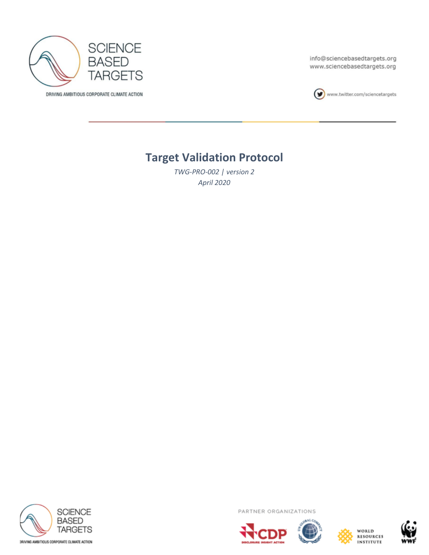

DRIVING AMBITIOUS CORPORATE CLIMATE ACTION

info@sciencebasedtargets.org www.sciencebasedtargets.org



www.twitter.com/sciencetargets

# **Target Validation Protocol**

*TWG-PRO-002 | version 2 April 2020*



PARTNER ORGANIZATIONS







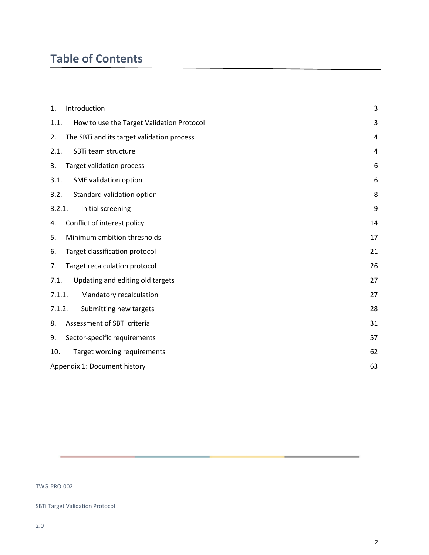# **Table of Contents**

| 1.     | Introduction                               | 3  |
|--------|--------------------------------------------|----|
| 1.1.   | How to use the Target Validation Protocol  | 3  |
| 2.     | The SBTi and its target validation process | 4  |
| 2.1.   | SBTi team structure                        | 4  |
| 3.     | <b>Target validation process</b>           | 6  |
| 3.1.   | SME validation option                      | 6  |
| 3.2.   | Standard validation option                 | 8  |
| 3.2.1. | Initial screening                          | 9  |
| 4.     | Conflict of interest policy                | 14 |
| 5.     | Minimum ambition thresholds                | 17 |
| 6.     | Target classification protocol             | 21 |
| 7.     | Target recalculation protocol              | 26 |
| 7.1.   | Updating and editing old targets           | 27 |
| 7.1.1. | Mandatory recalculation                    | 27 |
| 7.1.2. | Submitting new targets                     | 28 |
| 8.     | Assessment of SBTi criteria                | 31 |
| 9.     | Sector-specific requirements               | 57 |
| 10.    | Target wording requirements                | 62 |
|        | Appendix 1: Document history               | 63 |

TWG-PRO-002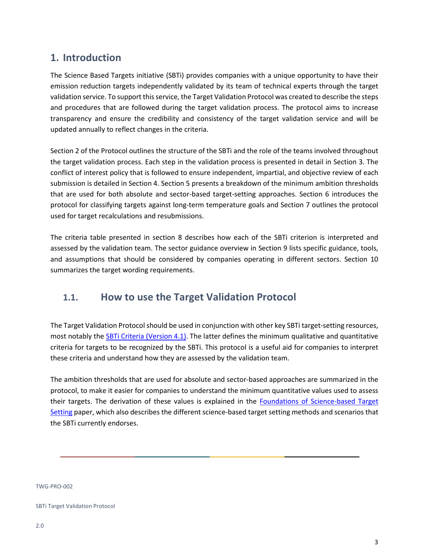## <span id="page-2-0"></span>**1. Introduction**

The Science Based Targets initiative (SBTi) provides companies with a unique opportunity to have their emission reduction targets independently validated by its team of technical experts through the target validation service. To support this service, the Target Validation Protocol was created to describe the steps and procedures that are followed during the target validation process. The protocol aims to increase transparency and ensure the credibility and consistency of the target validation service and will be updated annually to reflect changes in the criteria.

Section 2 of the Protocol outlines the structure of the SBTi and the role of the teams involved throughout the target validation process. Each step in the validation process is presented in detail in Section 3. The conflict of interest policy that is followed to ensure independent, impartial, and objective review of each submission is detailed in Section 4. Section 5 presents a breakdown of the minimum ambition thresholds that are used for both absolute and sector-based target-setting approaches. Section 6 introduces the protocol for classifying targets against long-term temperature goals and Section 7 outlines the protocol used for target recalculations and resubmissions.

The criteria table presented in section 8 describes how each of the SBTi criterion is interpreted and assessed by the validation team. The sector guidance overview in Section 9 lists specific guidance, tools, and assumptions that should be considered by companies operating in different sectors. Section 10 summarizes the target wording requirements.

## <span id="page-2-1"></span>**1.1. How to use the Target Validation Protocol**

The Target Validation Protocol should be used in conjunction with other key SBTi target-setting resources, most notably the [SBTi Criteria \(Version 4.1\).](https://sciencebasedtargets.org/wp-content/uploads/2019/03/SBTi-criteria.pdf/) The latter defines the minimum qualitative and quantitative criteria for targets to be recognized by the SBTi. This protocol is a useful aid for companies to interpret these criteria and understand how they are assessed by the validation team.

The ambition thresholds that are used for absolute and sector-based approaches are summarized in the protocol, to make it easier for companies to understand the minimum quantitative values used to assess their targets. The derivation of these values is explained in the [Foundations of Science-based Target](https://sciencebasedtargets.org/wp-content/uploads/2019/04/foundations-of-SBT-setting.pdf)  [Setting](https://sciencebasedtargets.org/wp-content/uploads/2019/04/foundations-of-SBT-setting.pdf) paper, which also describes the different science-based target setting methods and scenarios that the SBTi currently endorses.

TWG-PRO-002

SBTi Target Validation Protocol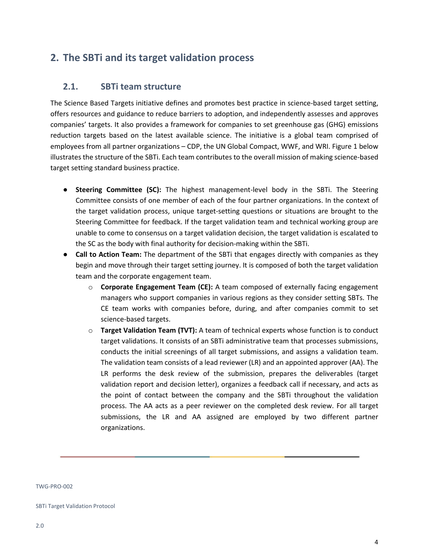## <span id="page-3-0"></span>**2. The SBTi and its target validation process**

### <span id="page-3-1"></span>**2.1. SBTi team structure**

The Science Based Targets initiative defines and promotes best practice in science-based target setting, offers resources and guidance to reduce barriers to adoption, and independently assesses and approves companies' targets. It also provides a framework for companies to set greenhouse gas (GHG) emissions reduction targets based on the latest available science. The initiative is a global team comprised of employees from all partner organizations – CDP, the UN Global Compact, WWF, and WRI. Figure 1 below illustrates the structure of the SBTi. Each team contributes to the overall mission of making science-based target setting standard business practice.

- **Steering Committee (SC):** The highest management-level body in the SBTi. The Steering Committee consists of one member of each of the four partner organizations. In the context of the target validation process, unique target-setting questions or situations are brought to the Steering Committee for feedback. If the target validation team and technical working group are unable to come to consensus on a target validation decision, the target validation is escalated to the SC as the body with final authority for decision-making within the SBTi.
- **Call to Action Team:** The department of the SBTi that engages directly with companies as they begin and move through their target setting journey. It is composed of both the target validation team and the corporate engagement team.
	- o **Corporate Engagement Team (CE):** A team composed of externally facing engagement managers who support companies in various regions as they consider setting SBTs. The CE team works with companies before, during, and after companies commit to set science-based targets.
	- o **Target Validation Team (TVT):** A team of technical experts whose function is to conduct target validations. It consists of an SBTi administrative team that processes submissions, conducts the initial screenings of all target submissions, and assigns a validation team. The validation team consists of a lead reviewer (LR) and an appointed approver (AA). The LR performs the desk review of the submission, prepares the deliverables (target validation report and decision letter), organizes a feedback call if necessary, and acts as the point of contact between the company and the SBTi throughout the validation process. The AA acts as a peer reviewer on the completed desk review. For all target submissions, the LR and AA assigned are employed by two different partner organizations.

TWG-PRO-002

SBTi Target Validation Protocol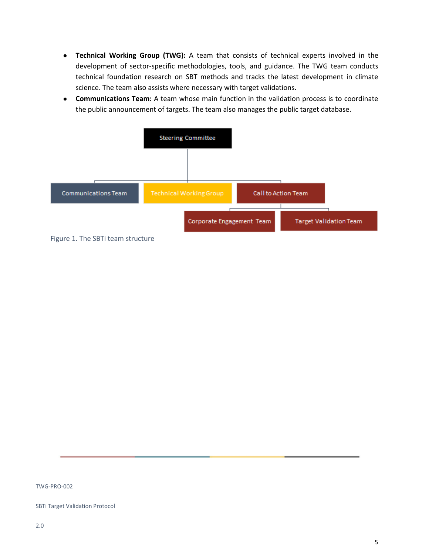- **Technical Working Group (TWG):** A team that consists of technical experts involved in the development of sector-specific methodologies, tools, and guidance. The TWG team conducts technical foundation research on SBT methods and tracks the latest development in climate science. The team also assists where necessary with target validations.
- **Communications Team:** A team whose main function in the validation process is to coordinate the public announcement of targets. The team also manages the public target database.



Figure 1. The SBTi team structure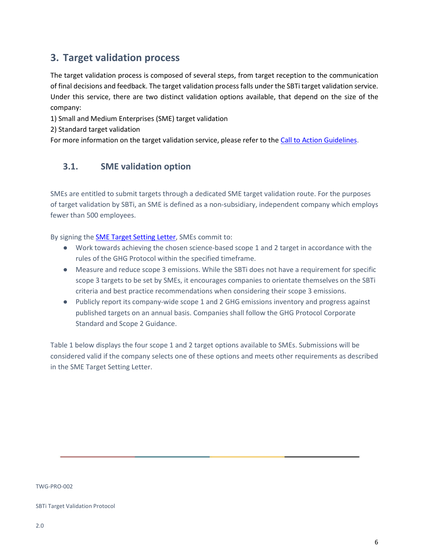## <span id="page-5-0"></span>**3. Target validation process**

The target validation process is composed of several steps, from target reception to the communication of final decisions and feedback. The target validation process falls under the SBTi target validation service. Under this service, there are two distinct validation options available, that depend on the size of the company:

1) Small and Medium Enterprises (SME) target validation

2) Standard target validation

<span id="page-5-1"></span>For more information on the target validation service, please refer to th[e Call to Action Guidelines.](https://sciencebasedtargets.org/wp-content/uploads/2018/10/C2A-guidelines.pdf)

## **3.1. SME validation option**

SMEs are entitled to submit targets through a dedicated SME target validation route. For the purposes of target validation by SBTi, an SME is defined as a non-subsidiary, independent company which employs fewer than 500 employees.

By signing the SME Target [Setting Letter,](https://sciencebasedtargets.org/wp-content/uploads/2020/04/SBT-SME-Target-Setting-Letter.pdf) SMEs commit to:

- Work towards achieving the chosen science-based scope 1 and 2 target in accordance with the rules of the GHG Protocol within the specified timeframe.
- Measure and reduce scope 3 emissions. While the SBTi does not have a requirement for specific scope 3 targets to be set by SMEs, it encourages companies to orientate themselves on the SBTi criteria and best practice recommendations when considering their scope 3 emissions.
- Publicly report its company-wide scope 1 and 2 GHG emissions inventory and progress against published targets on an annual basis. Companies shall follow the GHG Protocol Corporate Standard and Scope 2 Guidance.

Table 1 below displays the four scope 1 and 2 target options available to SMEs. Submissions will be considered valid if the company selects one of these options and meets other requirements as described in the SME Target Setting Letter.

TWG-PRO-002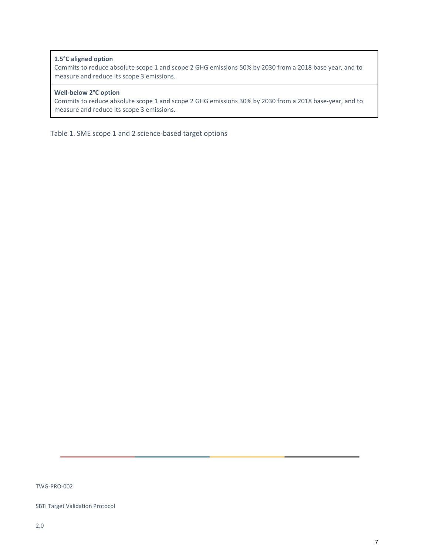### **1.5°C aligned option**

Commits to reduce absolute scope 1 and scope 2 GHG emissions 50% by 2030 from a 2018 base year, and to measure and reduce its scope 3 emissions.

### **Well-below 2°C option**

Commits to reduce absolute scope 1 and scope 2 GHG emissions 30% by 2030 from a 2018 base-year, and to measure and reduce its scope 3 emissions.

Table 1. SME scope 1 and 2 science-based target options

TWG-PRO-002

SBTi Target Validation Protocol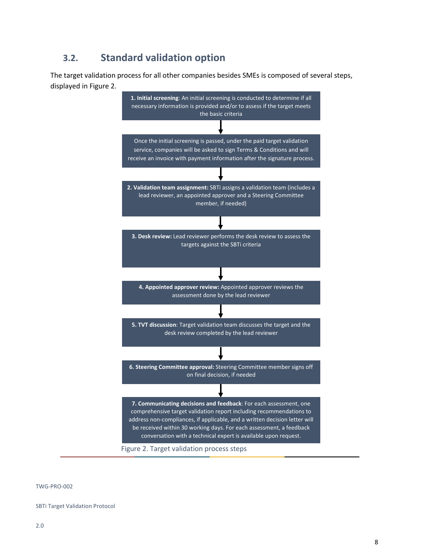## <span id="page-7-0"></span>**3.2. Standard validation option**

The target validation process for all other companies besides SMEs is composed of several steps, displayed in Figure 2.



TWG-PRO-002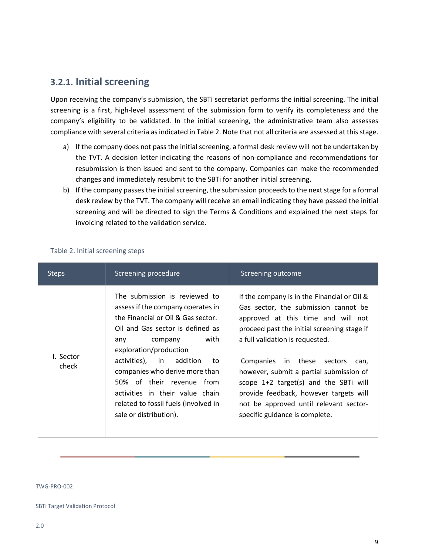## <span id="page-8-0"></span>**3.2.1. Initial screening**

Upon receiving the company's submission, the SBTi secretariat performs the initial screening. The initial screening is a first, high-level assessment of the submission form to verify its completeness and the company's eligibility to be validated. In the initial screening, the administrative team also assesses compliance with several criteria as indicated in Table 2. Note that not all criteria are assessed at this stage.

- a) If the company does not pass the initial screening, a formal desk review will not be undertaken by the TVT. A decision letter indicating the reasons of non-compliance and recommendations for resubmission is then issued and sent to the company. Companies can make the recommended changes and immediately resubmit to the SBTi for another initial screening.
- b) If the company passes the initial screening, the submission proceeds to the next stage for a formal desk review by the TVT. The company will receive an email indicating they have passed the initial screening and will be directed to sign the Terms & Conditions and explained the next steps for invoicing related to the validation service.

| <b>Steps</b>              | Screening procedure                                                                                                                                                                                                                                                                                                                                                                                     | Screening outcome                                                                                                                                                                                                                                                                                                                                                                                                                                             |
|---------------------------|---------------------------------------------------------------------------------------------------------------------------------------------------------------------------------------------------------------------------------------------------------------------------------------------------------------------------------------------------------------------------------------------------------|---------------------------------------------------------------------------------------------------------------------------------------------------------------------------------------------------------------------------------------------------------------------------------------------------------------------------------------------------------------------------------------------------------------------------------------------------------------|
| <b>I.</b> Sector<br>check | The submission is reviewed to<br>assess if the company operates in<br>the Financial or Oil & Gas sector.<br>Oil and Gas sector is defined as<br>with<br>company<br>any<br>exploration/production<br>activities), in addition<br>to.<br>companies who derive more than<br>50% of their revenue from<br>activities in their value chain<br>related to fossil fuels (involved in<br>sale or distribution). | If the company is in the Financial or Oil &<br>Gas sector, the submission cannot be<br>approved at this time and will not<br>proceed past the initial screening stage if<br>a full validation is requested.<br>Companies in these sectors<br>can,<br>however, submit a partial submission of<br>scope $1+2$ target(s) and the SBTi will<br>provide feedback, however targets will<br>not be approved until relevant sector-<br>specific guidance is complete. |

### Table 2. Initial screening steps

TWG-PRO-002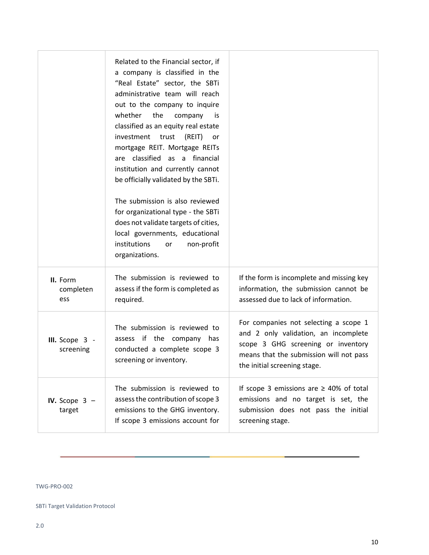|                               | Related to the Financial sector, if<br>a company is classified in the<br>"Real Estate" sector, the SBTi<br>administrative team will reach<br>out to the company to inquire<br>whether<br>the<br>company<br>is.<br>classified as an equity real estate<br>investment<br>trust<br>(REIT)<br>or<br>mortgage REIT. Mortgage REITs<br>are classified as a financial<br>institution and currently cannot<br>be officially validated by the SBTi.<br>The submission is also reviewed<br>for organizational type - the SBTi<br>does not validate targets of cities,<br>local governments, educational<br>institutions<br>non-profit<br>or<br>organizations. |                                                                                                                                                                                                |
|-------------------------------|-----------------------------------------------------------------------------------------------------------------------------------------------------------------------------------------------------------------------------------------------------------------------------------------------------------------------------------------------------------------------------------------------------------------------------------------------------------------------------------------------------------------------------------------------------------------------------------------------------------------------------------------------------|------------------------------------------------------------------------------------------------------------------------------------------------------------------------------------------------|
| II. Form<br>completen<br>ess  | The submission is reviewed to<br>assess if the form is completed as<br>required.                                                                                                                                                                                                                                                                                                                                                                                                                                                                                                                                                                    | If the form is incomplete and missing key<br>information, the submission cannot be<br>assessed due to lack of information.                                                                     |
| III. Scope $3 -$<br>screening | The submission is reviewed to<br>assess if the company has<br>conducted a complete scope 3<br>screening or inventory.                                                                                                                                                                                                                                                                                                                                                                                                                                                                                                                               | For companies not selecting a scope 1<br>and 2 only validation, an incomplete<br>scope 3 GHG screening or inventory<br>means that the submission will not pass<br>the initial screening stage. |
| IV. Scope $3 -$<br>target     | The submission is reviewed to<br>assess the contribution of scope 3<br>emissions to the GHG inventory.<br>If scope 3 emissions account for                                                                                                                                                                                                                                                                                                                                                                                                                                                                                                          | If scope 3 emissions are $\geq$ 40% of total<br>emissions and no target is set, the<br>submission does not pass the initial<br>screening stage.                                                |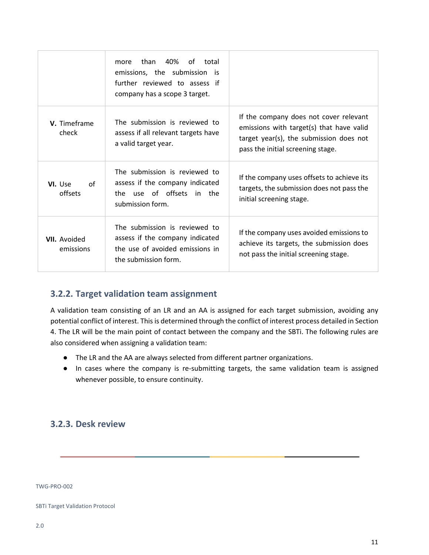|                                  | 40%<br>of<br>than<br>total<br>more<br>emissions, the submission is<br>further reviewed to assess if<br>company has a scope 3 target. |                                                                                                                                                                    |
|----------------------------------|--------------------------------------------------------------------------------------------------------------------------------------|--------------------------------------------------------------------------------------------------------------------------------------------------------------------|
| V. Timeframe<br>check            | The submission is reviewed to<br>assess if all relevant targets have<br>a valid target year.                                         | If the company does not cover relevant<br>emissions with target(s) that have valid<br>target year(s), the submission does not<br>pass the initial screening stage. |
| VI. Use<br>of<br>offsets         | The submission is reviewed to<br>assess if the company indicated<br>use of offsets in the<br>the.<br>submission form.                | If the company uses offsets to achieve its<br>targets, the submission does not pass the<br>initial screening stage.                                                |
| <b>VII.</b> Avoided<br>emissions | The submission is reviewed to<br>assess if the company indicated<br>the use of avoided emissions in<br>the submission form.          | If the company uses avoided emissions to<br>achieve its targets, the submission does<br>not pass the initial screening stage.                                      |

## **3.2.2. Target validation team assignment**

A validation team consisting of an LR and an AA is assigned for each target submission, avoiding any potential conflict of interest. This is determined through the conflict of interest process detailed in Section 4. The LR will be the main point of contact between the company and the SBTi. The following rules are also considered when assigning a validation team:

- The LR and the AA are always selected from different partner organizations.
- In cases where the company is re-submitting targets, the same validation team is assigned whenever possible, to ensure continuity.

## **3.2.3. Desk review**

TWG-PRO-002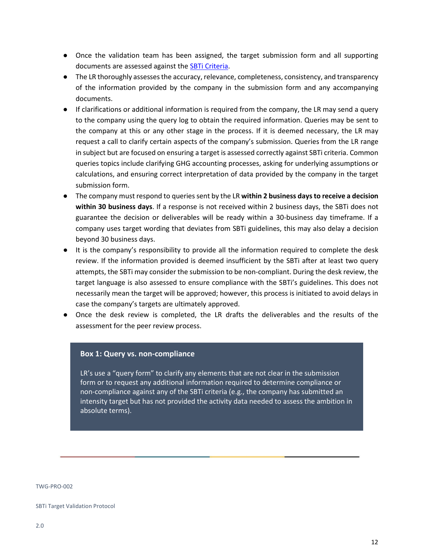- Once the validation team has been assigned, the target submission form and all supporting documents are assessed against the [SBTi Criteria.](https://sciencebasedtargets.org/wp-content/uploads/2019/03/SBTi-criteria.pdf)
- The LR thoroughly assesses the accuracy, relevance, completeness, consistency, and transparency of the information provided by the company in the submission form and any accompanying documents.
- If clarifications or additional information is required from the company, the LR may send a query to the company using the query log to obtain the required information. Queries may be sent to the company at this or any other stage in the process. If it is deemed necessary, the LR may request a call to clarify certain aspects of the company's submission. Queries from the LR range in subject but are focused on ensuring a target is assessed correctly against SBTi criteria. Common queries topics include clarifying GHG accounting processes, asking for underlying assumptions or calculations, and ensuring correct interpretation of data provided by the company in the target submission form.
- The company must respond to queries sent by the LR **within 2 business days to receive a decision within 30 business days**. If a response is not received within 2 business days, the SBTi does not guarantee the decision or deliverables will be ready within a 30-business day timeframe. If a company uses target wording that deviates from SBTi guidelines, this may also delay a decision beyond 30 business days.
- It is the company's responsibility to provide all the information required to complete the desk review. If the information provided is deemed insufficient by the SBTi after at least two query attempts, the SBTi may consider the submission to be non-compliant. During the desk review, the target language is also assessed to ensure compliance with the SBTi's guidelines. This does not necessarily mean the target will be approved; however, this process is initiated to avoid delays in case the company's targets are ultimately approved.
- Once the desk review is completed, the LR drafts the deliverables and the results of the assessment for the peer review process.

### **Box 1: Query vs. non-compliance**

LR's use a "query form" to clarify any elements that are not clear in the submission form or to request any additional information required to determine compliance or non-compliance against any of the SBTi criteria (e.g., the company has submitted an intensity target but has not provided the activity data needed to assess the ambition in absolute terms).

TWG-PRO-002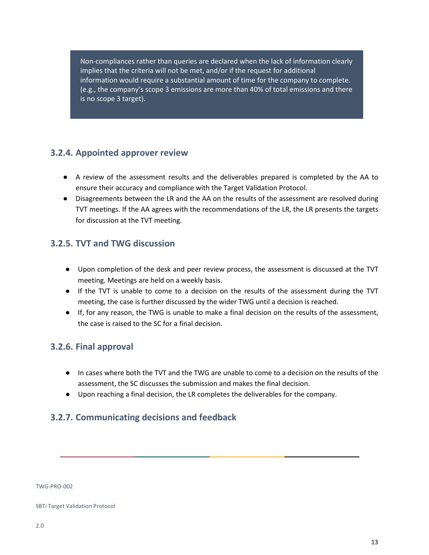Non-compliances rather than queries are declared when the lack of information clearly implies that the criteria will not be met, and/or if the request for additional information would require a substantial amount of time for the company to complete. (e.g., the company's scope 3 emissions are more than 40% of total emissions and there is no scope 3 target).

## **3.2.4. Appointed approver review**

- A review of the assessment results and the deliverables prepared is completed by the AA to ensure their accuracy and compliance with the Target Validation Protocol.
- Disagreements between the LR and the AA on the results of the assessment are resolved during TVT meetings. If the AA agrees with the recommendations of the LR, the LR presents the targets for discussion at the TVT meeting.

## **3.2.5. TVT and TWG discussion**

- Upon completion of the desk and peer review process, the assessment is discussed at the TVT meeting. Meetings are held on a weekly basis.
- If the TVT is unable to come to a decision on the results of the assessment during the TVT meeting, the case is further discussed by the wider TWG until a decision is reached.
- If, for any reason, the TWG is unable to make a final decision on the results of the assessment, the case is raised to the SC for a final decision.

### **3.2.6. Final approval**

- In cases where both the TVT and the TWG are unable to come to a decision on the results of the assessment, the SC discusses the submission and makes the final decision.
- Upon reaching a final decision, the LR completes the deliverables for the company.

### **3.2.7. Communicating decisions and feedback**

TWG-PRO-002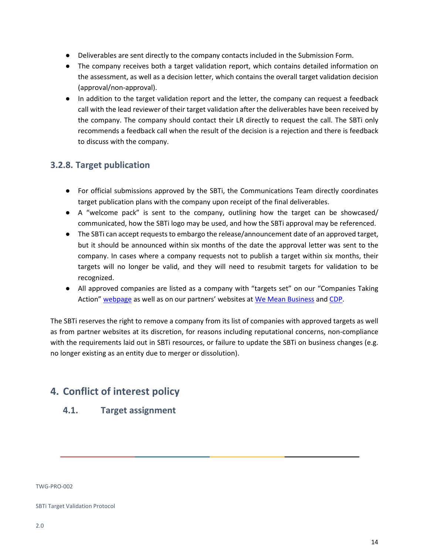- Deliverables are sent directly to the company contacts included in the Submission Form.
- The company receives both a target validation report, which contains detailed information on the assessment, as well as a decision letter, which contains the overall target validation decision (approval/non-approval).
- In addition to the target validation report and the letter, the company can request a feedback call with the lead reviewer of their target validation after the deliverables have been received by the company. The company should contact their LR directly to request the call. The SBTi only recommends a feedback call when the result of the decision is a rejection and there is feedback to discuss with the company.

## **3.2.8. Target publication**

- For official submissions approved by the SBTi, the Communications Team directly coordinates target publication plans with the company upon receipt of the final deliverables.
- A "welcome pack" is sent to the company, outlining how the target can be showcased/ communicated, how the SBTi logo may be used, and how the SBTi approval may be referenced.
- The SBTi can accept requests to embargo the release/announcement date of an approved target, but it should be announced within six months of the date the approval letter was sent to the company. In cases where a company requests not to publish a target within six months, their targets will no longer be valid, and they will need to resubmit targets for validation to be recognized.
- All approved companies are listed as a company with "targets set" on our "Companies Taking Action" [webpage](https://sciencebasedtargets.org/companies-taking-action/) as well as on our partners' websites at [We Mean Business](https://www.wemeanbusinesscoalition.org/commitment/adopt-a-science-based-emissions-reduction-target/) an[d CDP.](https://www.cdp.net/en/campaigns/commit-to-action/science-based-targets)

The SBTi reserves the right to remove a company from its list of companies with approved targets as well as from partner websites at its discretion, for reasons including reputational concerns, non-compliance with the requirements laid out in SBTi resources, or failure to update the SBTi on business changes (e.g. no longer existing as an entity due to merger or dissolution).

## <span id="page-13-0"></span>**4. Conflict of interest policy**

### **4.1. Target assignment**

TWG-PRO-002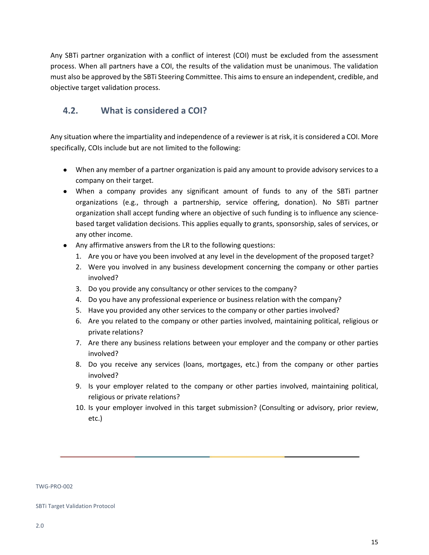Any SBTi partner organization with a conflict of interest (COI) must be excluded from the assessment process. When all partners have a COI, the results of the validation must be unanimous. The validation must also be approved by the SBTi Steering Committee. This aims to ensure an independent, credible, and objective target validation process.

## **4.2. What is considered a COI?**

Any situation where the impartiality and independence of a reviewer is at risk, it is considered a COI. More specifically, COIs include but are not limited to the following:

- When any member of a partner organization is paid any amount to provide advisory services to a company on their target.
- When a company provides any significant amount of funds to any of the SBTi partner organizations (e.g., through a partnership, service offering, donation). No SBTi partner organization shall accept funding where an objective of such funding is to influence any sciencebased target validation decisions. This applies equally to grants, sponsorship, sales of services, or any other income.
- Any affirmative answers from the LR to the following questions:
	- 1. Are you or have you been involved at any level in the development of the proposed target?
	- 2. Were you involved in any business development concerning the company or other parties involved?
	- 3. Do you provide any consultancy or other services to the company?
	- 4. Do you have any professional experience or business relation with the company?
	- 5. Have you provided any other services to the company or other parties involved?
	- 6. Are you related to the company or other parties involved, maintaining political, religious or private relations?
	- 7. Are there any business relations between your employer and the company or other parties involved?
	- 8. Do you receive any services (loans, mortgages, etc.) from the company or other parties involved?
	- 9. Is your employer related to the company or other parties involved, maintaining political, religious or private relations?
	- 10. Is your employer involved in this target submission? (Consulting or advisory, prior review, etc.)

TWG-PRO-002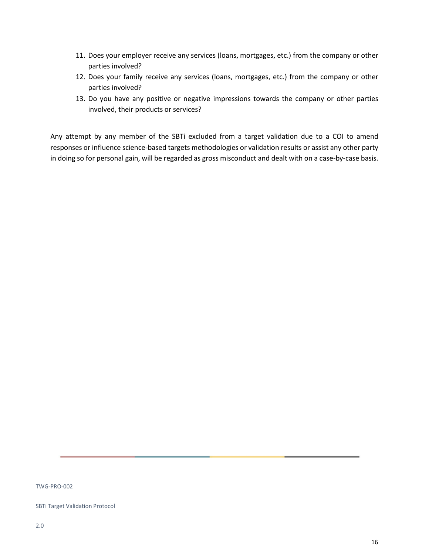- 11. Does your employer receive any services (loans, mortgages, etc.) from the company or other parties involved?
- 12. Does your family receive any services (loans, mortgages, etc.) from the company or other parties involved?
- 13. Do you have any positive or negative impressions towards the company or other parties involved, their products or services?

Any attempt by any member of the SBTi excluded from a target validation due to a COI to amend responses or influence science-based targets methodologies or validation results or assist any other party in doing so for personal gain, will be regarded as gross misconduct and dealt with on a case-by-case basis.

TWG-PRO-002

SBTi Target Validation Protocol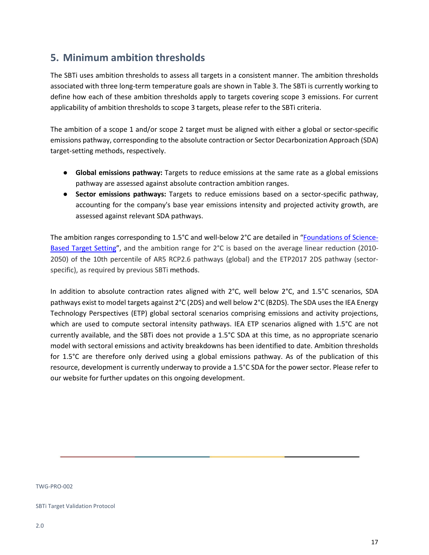## <span id="page-16-0"></span>**5. Minimum ambition thresholds**

The SBTi uses ambition thresholds to assess all targets in a consistent manner. The ambition thresholds associated with three long-term temperature goals are shown in Table 3. The SBTi is currently working to define how each of these ambition thresholds apply to targets covering scope 3 emissions. For current applicability of ambition thresholds to scope 3 targets, please refer to the SBTi criteria.

The ambition of a scope 1 and/or scope 2 target must be aligned with either a global or sector-specific emissions pathway, corresponding to the absolute contraction or Sector Decarbonization Approach (SDA) target-setting methods, respectively.

- **Global emissions pathway:** Targets to reduce emissions at the same rate as a global emissions pathway are assessed against absolute contraction ambition ranges.
- **Sector emissions pathways:** Targets to reduce emissions based on a sector-specific pathway, accounting for the company's base year emissions intensity and projected activity growth, are assessed against relevant SDA pathways.

The ambition ranges corresponding to 1.5°C and well-below 2°C are detailed in ["Foundations of Science-](https://sciencebasedtargets.org/wp-content/uploads/2019/04/foundations-of-SBT-setting.pdf)[Based Target Setting"](https://sciencebasedtargets.org/wp-content/uploads/2019/04/foundations-of-SBT-setting.pdf), and the ambition range for 2°C is based on the average linear reduction (2010- 2050) of the 10th percentile of AR5 RCP2.6 pathways (global) and the ETP2017 2DS pathway (sectorspecific), as required by previous SBTi methods.

In addition to absolute contraction rates aligned with 2°C, well below 2°C, and 1.5°C scenarios, SDA pathways exist to model targets against 2°C (2DS) and well below 2°C (B2DS). The SDA uses the IEA Energy Technology Perspectives (ETP) global sectoral scenarios comprising emissions and activity projections, which are used to compute sectoral intensity pathways. IEA ETP scenarios aligned with 1.5°C are not currently available, and the SBTi does not provide a 1.5°C SDA at this time, as no appropriate scenario model with sectoral emissions and activity breakdowns has been identified to date. Ambition thresholds for 1.5°C are therefore only derived using a global emissions pathway. As of the publication of this resource, development is currently underway to provide a 1.5°C SDA for the power sector. Please refer to our website for further updates on this ongoing development.

TWG-PRO-002

SBTi Target Validation Protocol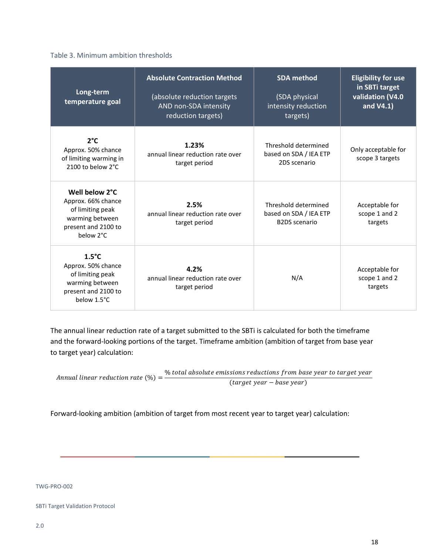### Table 3. Minimum ambition thresholds

| Long-term<br>temperature goal                                                                                      | <b>Absolute Contraction Method</b><br>(absolute reduction targets<br>AND non-SDA intensity<br>reduction targets) | <b>SDA</b> method<br>(SDA physical<br>intensity reduction<br>targets)  | <b>Eligibility for use</b><br>in SBTi target<br>validation (V4.0<br>and V4.1) |
|--------------------------------------------------------------------------------------------------------------------|------------------------------------------------------------------------------------------------------------------|------------------------------------------------------------------------|-------------------------------------------------------------------------------|
| $2^{\circ}C$<br>Approx. 50% chance<br>of limiting warming in<br>2100 to below 2°C                                  | 1.23%<br>annual linear reduction rate over<br>target period                                                      | Threshold determined<br>based on SDA / IEA ETP<br>2DS scenario         | Only acceptable for<br>scope 3 targets                                        |
| Well below 2°C<br>Approx. 66% chance<br>of limiting peak<br>warming between<br>present and 2100 to<br>below 2°C    | 2.5%<br>annual linear reduction rate over<br>target period                                                       | Threshold determined<br>based on SDA / IEA ETP<br><b>B2DS</b> scenario | Acceptable for<br>scope 1 and 2<br>targets                                    |
| $1.5^{\circ}$ C<br>Approx. 50% chance<br>of limiting peak<br>warming between<br>present and 2100 to<br>below 1.5°C | 4.2%<br>annual linear reduction rate over<br>target period                                                       | N/A                                                                    | Acceptable for<br>scope 1 and 2<br>targets                                    |

The annual linear reduction rate of a target submitted to the SBTi is calculated for both the timeframe and the forward-looking portions of the target. Timeframe ambition (ambition of target from base year to target year) calculation:

Annual linear reduction rate  $(\%) = \frac{\% \text{ total absolute emissions reductions from base year to target year}}{\sqrt{2}}$  $(target \, year - base \, year)$ 

Forward-looking ambition (ambition of target from most recent year to target year) calculation:

TWG-PRO-002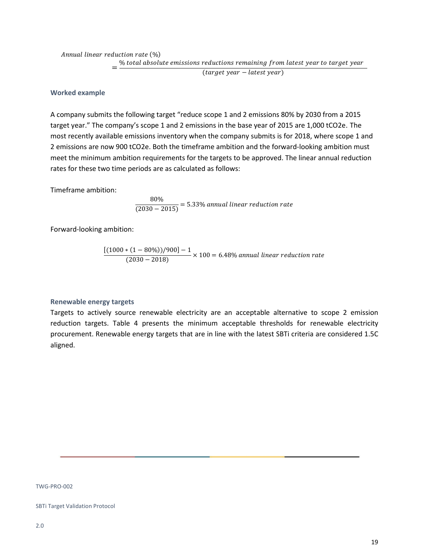Annual linear reduction rate (%)  $=\frac{96 \text{ total absolute emissions}}{25}$  reductions remaining from latest year to target year

 $(target \, year - latest \, year)$ 

### **Worked example**

A company submits the following target "reduce scope 1 and 2 emissions 80% by 2030 from a 2015 target year." The company's scope 1 and 2 emissions in the base year of 2015 are 1,000 tCO2e. The most recently available emissions inventory when the company submits is for 2018, where scope 1 and 2 emissions are now 900 tCO2e. Both the timeframe ambition and the forward-looking ambition must meet the minimum ambition requirements for the targets to be approved. The linear annual reduction rates for these two time periods are as calculated as follows:

Timeframe ambition:

$$
\frac{80\%}{(2030 - 2015)} = 5.33\% \text{ annual linear reduction rate}
$$

Forward-looking ambition:

$$
\frac{[(1000 * (1 - 80\%))/900] - 1}{(2030 - 2018)} \times 100 = 6.48\% \text{ annual linear reduction rate}
$$

#### **Renewable energy targets**

Targets to actively source renewable electricity are an acceptable alternative to scope 2 emission reduction targets. Table 4 presents the minimum acceptable thresholds for renewable electricity procurement. Renewable energy targets that are in line with the latest SBTi criteria are considered 1.5C aligned.

TWG-PRO-002

SBTi Target Validation Protocol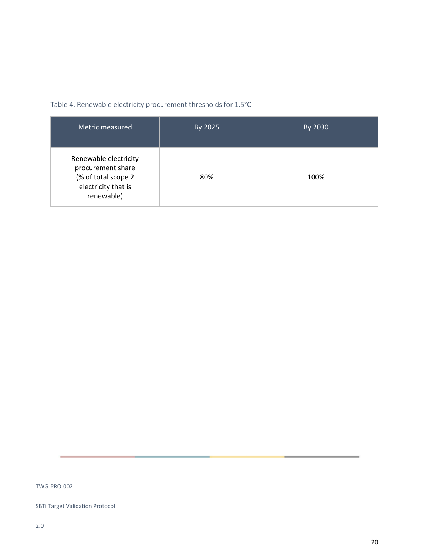| Metric measured                                                                                        | By 2025 | By 2030 |
|--------------------------------------------------------------------------------------------------------|---------|---------|
| Renewable electricity<br>procurement share<br>(% of total scope 2<br>electricity that is<br>renewable) | 80%     | 100%    |

### Table 4. Renewable electricity procurement thresholds for 1.5°C

TWG-PRO-002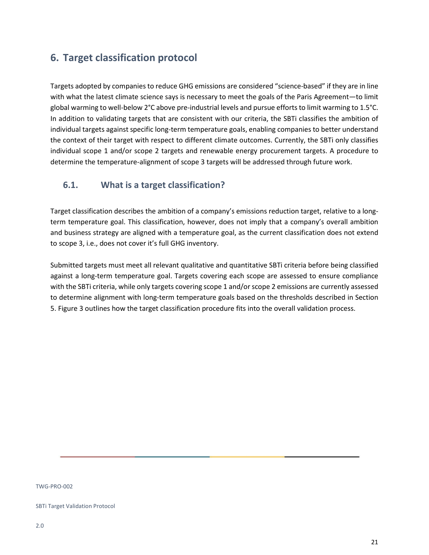## <span id="page-20-0"></span>**6. Target classification protocol**

Targets adopted by companies to reduce GHG emissions are considered "science-based" if they are in line with what the latest climate science says is necessary to meet the goals of the Paris Agreement—to limit global warming to well-below 2°C above pre-industrial levels and pursue efforts to limit warming to 1.5°C. In addition to validating targets that are consistent with our criteria, the SBTi classifies the ambition of individual targets against specific long-term temperature goals, enabling companies to better understand the context of their target with respect to different climate outcomes. Currently, the SBTi only classifies individual scope 1 and/or scope 2 targets and renewable energy procurement targets. A procedure to determine the temperature-alignment of scope 3 targets will be addressed through future work.

## **6.1. What is a target classification?**

Target classification describes the ambition of a company's emissions reduction target, relative to a longterm temperature goal. This classification, however, does not imply that a company's overall ambition and business strategy are aligned with a temperature goal, as the current classification does not extend to scope 3, i.e., does not cover it's full GHG inventory.

Submitted targets must meet all relevant qualitative and quantitative SBTi criteria before being classified against a long-term temperature goal. Targets covering each scope are assessed to ensure compliance with the SBTi criteria, while only targets covering scope 1 and/or scope 2 emissions are currently assessed to determine alignment with long-term temperature goals based on the thresholds described in Section 5. Figure 3 outlines how the target classification procedure fits into the overall validation process.

TWG-PRO-002

SBTi Target Validation Protocol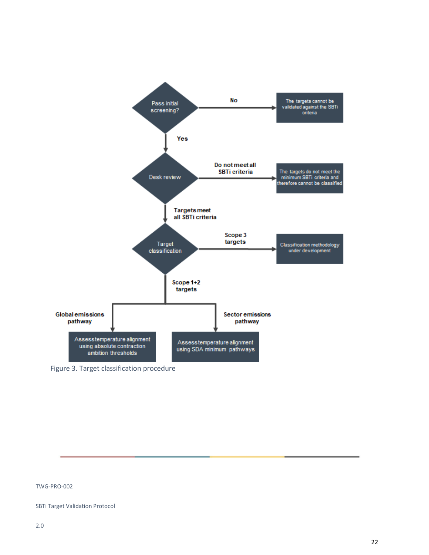

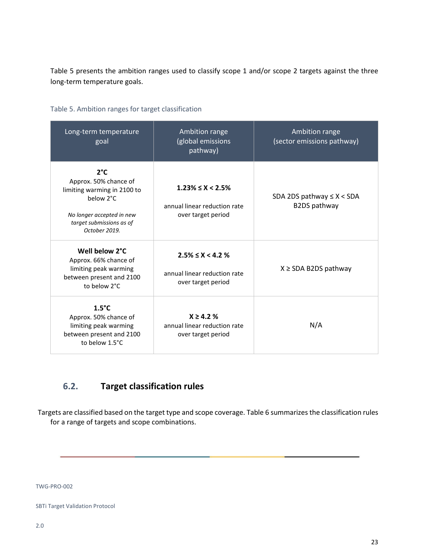Table 5 presents the ambition ranges used to classify scope 1 and/or scope 2 targets against the three long-term temperature goals.

| Long-term temperature<br>goal                                                                                                                               | Ambition range<br>(global emissions<br>pathway)                                  | Ambition range<br>(sector emissions pathway)   |
|-------------------------------------------------------------------------------------------------------------------------------------------------------------|----------------------------------------------------------------------------------|------------------------------------------------|
| $2^{\circ}C$<br>Approx. 50% chance of<br>limiting warming in 2100 to<br>below 2°C<br>No longer accepted in new<br>target submissions as of<br>October 2019. | $1.23\% \leq X \leq 2.5\%$<br>annual linear reduction rate<br>over target period | SDA 2DS pathway $\leq$ X < SDA<br>B2DS pathway |
| Well below 2°C<br>Approx. 66% chance of<br>limiting peak warming<br>between present and 2100<br>to below 2°C                                                | $2.5\% \leq X \leq 4.2\%$<br>annual linear reduction rate<br>over target period  | $X \geq SDA$ B2DS pathway                      |
| $1.5^{\circ}$ C<br>Approx. 50% chance of<br>limiting peak warming<br>between present and 2100<br>to below 1.5°C                                             | $X \ge 4.2 \%$<br>annual linear reduction rate<br>over target period             | N/A                                            |

### Table 5. Ambition ranges for target classification

## **6.2. Target classification rules**

Targets are classified based on the target type and scope coverage. Table 6 summarizes the classification rules for a range of targets and scope combinations.

TWG-PRO-002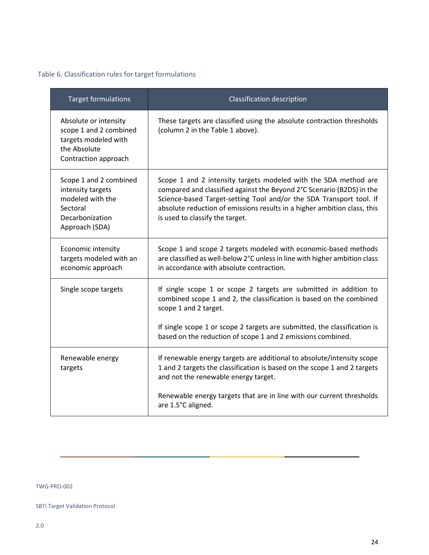### Table 6. Classification rules for target formulations

| <b>Target formulations</b>                                                                                       | Classification description                                                                                                                                                                                                                                                                                                     |
|------------------------------------------------------------------------------------------------------------------|--------------------------------------------------------------------------------------------------------------------------------------------------------------------------------------------------------------------------------------------------------------------------------------------------------------------------------|
| Absolute or intensity<br>scope 1 and 2 combined<br>targets modeled with<br>the Absolute<br>Contraction approach  | These targets are classified using the absolute contraction thresholds<br>(column 2 in the Table 1 above).                                                                                                                                                                                                                     |
| Scope 1 and 2 combined<br>intensity targets<br>modeled with the<br>Sectoral<br>Decarbonization<br>Approach (SDA) | Scope 1 and 2 intensity targets modeled with the SDA method are<br>compared and classified against the Beyond 2°C Scenario (B2DS) in the<br>Science-based Target-setting Tool and/or the SDA Transport tool. If<br>absolute reduction of emissions results in a higher ambition class, this<br>is used to classify the target. |
| Economic intensity<br>targets modeled with an<br>economic approach                                               | Scope 1 and scope 2 targets modeled with economic-based methods<br>are classified as well-below 2°C unless in line with higher ambition class<br>in accordance with absolute contraction.                                                                                                                                      |
| Single scope targets                                                                                             | If single scope 1 or scope 2 targets are submitted in addition to<br>combined scope 1 and 2, the classification is based on the combined<br>scope 1 and 2 target.                                                                                                                                                              |
|                                                                                                                  | If single scope 1 or scope 2 targets are submitted, the classification is<br>based on the reduction of scope 1 and 2 emissions combined.                                                                                                                                                                                       |
| Renewable energy<br>targets                                                                                      | If renewable energy targets are additional to absolute/intensity scope<br>1 and 2 targets the classification is based on the scope 1 and 2 targets<br>and not the renewable energy target.                                                                                                                                     |
|                                                                                                                  | Renewable energy targets that are in line with our current thresholds<br>are 1.5°C aligned.                                                                                                                                                                                                                                    |

TWG-PRO-002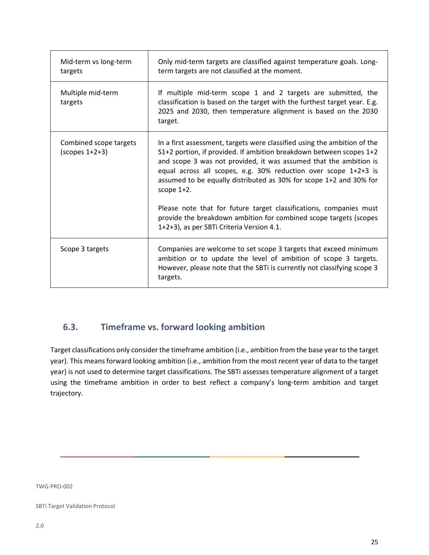| Mid-term vs long-term<br>targets              | Only mid-term targets are classified against temperature goals. Long-<br>term targets are not classified at the moment.                                                                                                                                                                                                                                                                                                                           |
|-----------------------------------------------|---------------------------------------------------------------------------------------------------------------------------------------------------------------------------------------------------------------------------------------------------------------------------------------------------------------------------------------------------------------------------------------------------------------------------------------------------|
| Multiple mid-term<br>targets                  | If multiple mid-term scope 1 and 2 targets are submitted, the<br>classification is based on the target with the furthest target year. E.g.<br>2025 and 2030, then temperature alignment is based on the 2030<br>target.                                                                                                                                                                                                                           |
| Combined scope targets<br>$(s$ copes $1+2+3)$ | In a first assessment, targets were classified using the ambition of the<br>S1+2 portion, if provided. If ambition breakdown between scopes 1+2<br>and scope 3 was not provided, it was assumed that the ambition is<br>equal across all scopes, e.g. 30% reduction over scope 1+2+3 is<br>assumed to be equally distributed as 30% for scope 1+2 and 30% for<br>scope 1+2.<br>Please note that for future target classifications, companies must |
|                                               | provide the breakdown ambition for combined scope targets (scopes<br>1+2+3), as per SBTi Criteria Version 4.1.                                                                                                                                                                                                                                                                                                                                    |
| Scope 3 targets                               | Companies are welcome to set scope 3 targets that exceed minimum<br>ambition or to update the level of ambition of scope 3 targets.<br>However, please note that the SBTi is currently not classifying scope 3<br>targets.                                                                                                                                                                                                                        |

## **6.3. Timeframe vs. forward looking ambition**

Target classifications only consider the timeframe ambition (i.e., ambition from the base year to the target year). This means forward looking ambition (i.e., ambition from the most recent year of data to the target year) is not used to determine target classifications. The SBTi assesses temperature alignment of a target using the timeframe ambition in order to best reflect a company's long-term ambition and target trajectory.

TWG-PRO-002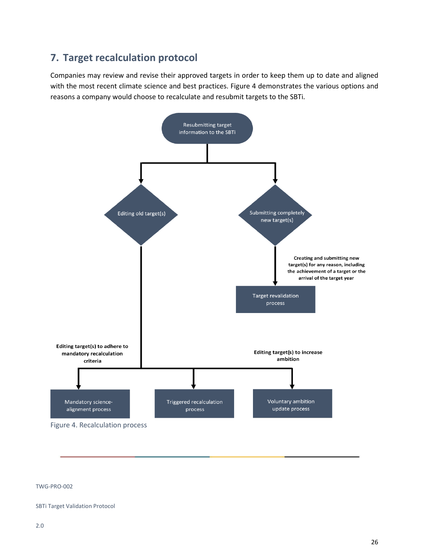## <span id="page-25-0"></span>**7. Target recalculation protocol**

Companies may review and revise their approved targets in order to keep them up to date and aligned with the most recent climate science and best practices. Figure 4 demonstrates the various options and reasons a company would choose to recalculate and resubmit targets to the SBTi.



#### TWG-PRO-002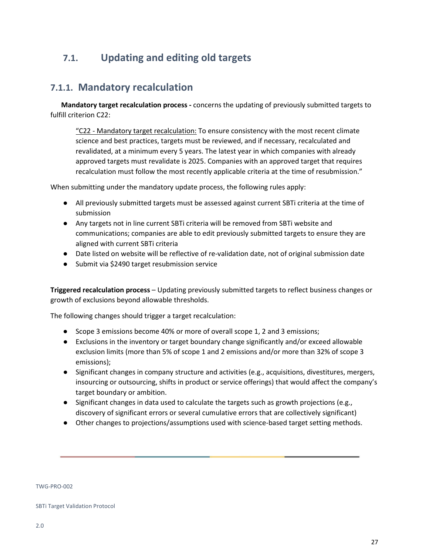## <span id="page-26-1"></span><span id="page-26-0"></span>**7.1. Updating and editing old targets**

## **7.1.1. Mandatory recalculation**

 **Mandatory target recalculation process -** concerns the updating of previously submitted targets to fulfill criterion C22:

"C22 - Mandatory target recalculation: To ensure consistency with the most recent climate science and best practices, targets must be reviewed, and if necessary, recalculated and revalidated, at a minimum every 5 years. The latest year in which companies with already approved targets must revalidate is 2025. Companies with an approved target that requires recalculation must follow the most recently applicable criteria at the time of resubmission."

When submitting under the mandatory update process, the following rules apply:

- All previously submitted targets must be assessed against current SBTi criteria at the time of submission
- Any targets not in line current SBTi criteria will be removed from SBTi website and communications; companies are able to edit previously submitted targets to ensure they are aligned with current SBTi criteria
- Date listed on website will be reflective of re-validation date, not of original submission date
- Submit via \$2490 target resubmission service

**Triggered recalculation process** – Updating previously submitted targets to reflect business changes or growth of exclusions beyond allowable thresholds.

The following changes should trigger a target recalculation:

- Scope 3 emissions become 40% or more of overall scope 1, 2 and 3 emissions;
- Exclusions in the inventory or target boundary change significantly and/or exceed allowable exclusion limits (more than 5% of scope 1 and 2 emissions and/or more than 32% of scope 3 emissions);
- Significant changes in company structure and activities (e.g., acquisitions, divestitures, mergers, insourcing or outsourcing, shifts in product or service offerings) that would affect the company's target boundary or ambition.
- Significant changes in data used to calculate the targets such as growth projections (e.g., discovery of significant errors or several cumulative errors that are collectively significant)
- Other changes to projections/assumptions used with science-based target setting methods.

#### TWG-PRO-002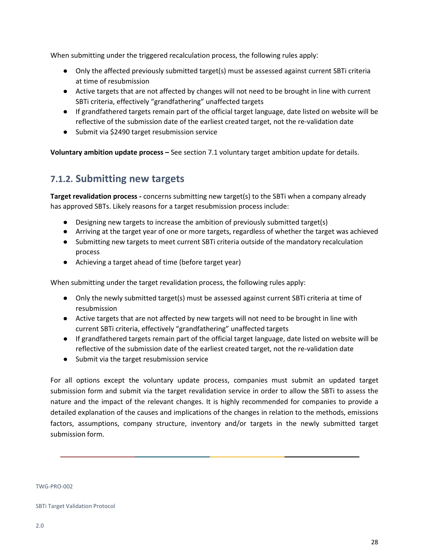When submitting under the triggered recalculation process, the following rules apply:

- Only the affected previously submitted target(s) must be assessed against current SBTi criteria at time of resubmission
- Active targets that are not affected by changes will not need to be brought in line with current SBTi criteria, effectively "grandfathering" unaffected targets
- If grandfathered targets remain part of the official target language, date listed on website will be reflective of the submission date of the earliest created target, not the re-validation date
- Submit via \$2490 target resubmission service

**Voluntary ambition update process –** See section 7.1 voluntary target ambition update for details.

## <span id="page-27-0"></span>**7.1.2. Submitting new targets**

**Target revalidation process -** concerns submitting new target(s) to the SBTi when a company already has approved SBTs. Likely reasons for a target resubmission process include:

- Designing new targets to increase the ambition of previously submitted target(s)
- Arriving at the target year of one or more targets, regardless of whether the target was achieved
- Submitting new targets to meet current SBTi criteria outside of the mandatory recalculation process
- Achieving a target ahead of time (before target year)

When submitting under the target revalidation process, the following rules apply:

- Only the newly submitted target(s) must be assessed against current SBTi criteria at time of resubmission
- Active targets that are not affected by new targets will not need to be brought in line with current SBTi criteria, effectively "grandfathering" unaffected targets
- If grandfathered targets remain part of the official target language, date listed on website will be reflective of the submission date of the earliest created target, not the re-validation date
- Submit via the target resubmission service

For all options except the voluntary update process, companies must submit an updated target submission form and submit via the target revalidation service in order to allow the SBTi to assess the nature and the impact of the relevant changes. It is highly recommended for companies to provide a detailed explanation of the causes and implications of the changes in relation to the methods, emissions factors, assumptions, company structure, inventory and/or targets in the newly submitted target submission form.

TWG-PRO-002

SBTi Target Validation Protocol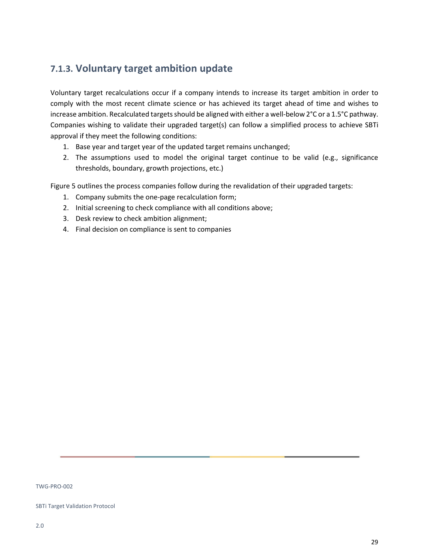## **7.1.3. Voluntary target ambition update**

Voluntary target recalculations occur if a company intends to increase its target ambition in order to comply with the most recent climate science or has achieved its target ahead of time and wishes to increase ambition. Recalculated targets should be aligned with either a well-below 2°C or a 1.5°C pathway. Companies wishing to validate their upgraded target(s) can follow a simplified process to achieve SBTi approval if they meet the following conditions:

- 1. Base year and target year of the updated target remains unchanged;
- 2. The assumptions used to model the original target continue to be valid (e.g., significance thresholds, boundary, growth projections, etc.)

Figure 5 outlines the process companies follow during the revalidation of their upgraded targets:

- 1. Company submits the one-page recalculation form;
- 2. Initial screening to check compliance with all conditions above;
- 3. Desk review to check ambition alignment;
- 4. Final decision on compliance is sent to companies

TWG-PRO-002

SBTi Target Validation Protocol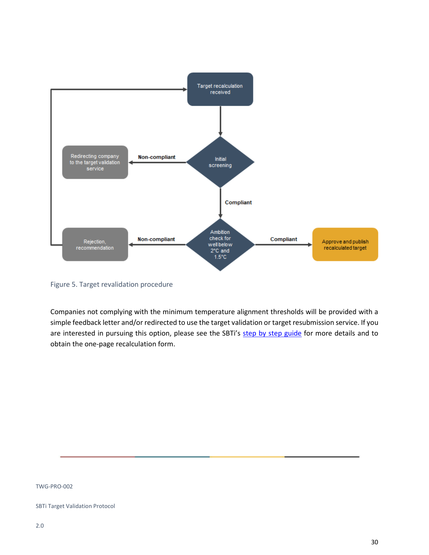

Figure 5. Target revalidation procedure

Companies not complying with the minimum temperature alignment thresholds will be provided with a simple feedback letter and/or redirected to use the target validation or target resubmission service. If you are interested in pursuing this option, please see the SBTi's [step by step guide](https://sciencebasedtargets.org/step-by-step-guide/) for more details and to obtain the one-page recalculation form.

TWG-PRO-002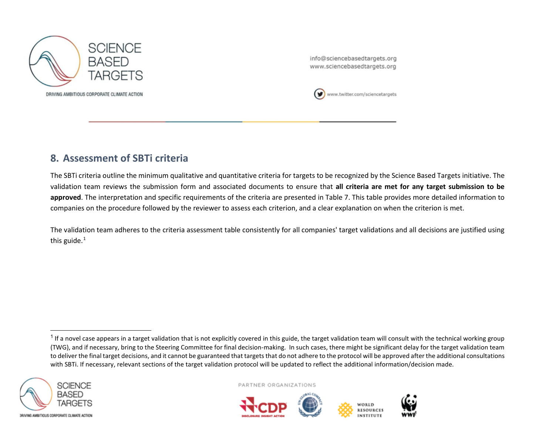

<span id="page-30-1"></span>info@sciencebasedtargets.org www.sciencebasedtargets.org



## **8. Assessment of SBTi criteria**

The SBTi criteria outline the minimum qualitative and quantitative criteria for targets to be recognized by the Science Based Targets initiative. The validation team reviews the submission form and associated documents to ensure that **all criteria are met for any target submission to be approved**. The interpretation and specific requirements of the criteria are presented in Table 7. This table provides more detailed information to companies on the procedure followed by the reviewer to assess each criterion, and a clear explanation on when the criterion is met.

<span id="page-30-0"></span>The validation team adheres to the criteria assessment table consistently for all companies' target validations and all decisions are justified using this guide. [1](#page-30-1)

 $1$  If a novel case appears in a target validation that is not explicitly covered in this guide, the target validation team will consult with the technical working group (TWG), and if necessary, bring to the Steering Committee for final decision-making. In such cases, there might be significant delay for the target validation team to deliver the final target decisions, and it cannot be guaranteed that targets that do not adhere to the protocol will be approved after the additional consultations with SBTi. If necessary, relevant sections of the target validation protocol will be updated to reflect the additional information/decision made.



PARTNER ORGANIZATIONS





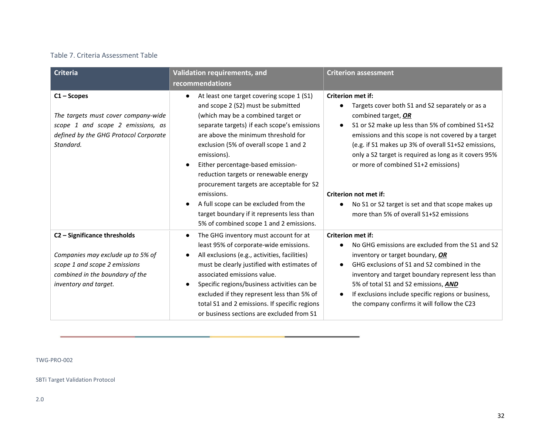### Table 7. Criteria Assessment Table

| <b>Criteria</b>                                                                                                                                                | Validation requirements, and                                                                                                                                                                                                                                                                                                                                                                                                                     | <b>Criterion assessment</b>                                                                                                                                                                                                                                                                                                                                                                  |
|----------------------------------------------------------------------------------------------------------------------------------------------------------------|--------------------------------------------------------------------------------------------------------------------------------------------------------------------------------------------------------------------------------------------------------------------------------------------------------------------------------------------------------------------------------------------------------------------------------------------------|----------------------------------------------------------------------------------------------------------------------------------------------------------------------------------------------------------------------------------------------------------------------------------------------------------------------------------------------------------------------------------------------|
|                                                                                                                                                                | recommendations                                                                                                                                                                                                                                                                                                                                                                                                                                  |                                                                                                                                                                                                                                                                                                                                                                                              |
| $C1 -$ Scopes<br>The targets must cover company-wide<br>scope 1 and scope 2 emissions, as<br>defined by the GHG Protocol Corporate<br>Standard.                | At least one target covering scope 1 (S1)<br>and scope 2 (S2) must be submitted<br>(which may be a combined target or<br>separate targets) if each scope's emissions<br>are above the minimum threshold for<br>exclusion (5% of overall scope 1 and 2<br>emissions).<br>Either percentage-based emission-<br>$\bullet$                                                                                                                           | <b>Criterion met if:</b><br>Targets cover both S1 and S2 separately or as a<br>combined target, OR<br>S1 or S2 make up less than 5% of combined S1+S2<br>$\bullet$<br>emissions and this scope is not covered by a target<br>(e.g. if S1 makes up 3% of overall S1+S2 emissions,<br>only a S2 target is required as long as it covers 95%<br>or more of combined S1+2 emissions)             |
|                                                                                                                                                                | reduction targets or renewable energy<br>procurement targets are acceptable for S2<br>emissions.<br>A full scope can be excluded from the<br>$\bullet$<br>target boundary if it represents less than<br>5% of combined scope 1 and 2 emissions.                                                                                                                                                                                                  | Criterion not met if:<br>No S1 or S2 target is set and that scope makes up<br>more than 5% of overall S1+S2 emissions                                                                                                                                                                                                                                                                        |
| C2 - Significance thresholds<br>Companies may exclude up to 5% of<br>scope 1 and scope 2 emissions<br>combined in the boundary of the<br>inventory and target. | The GHG inventory must account for at<br>$\bullet$<br>least 95% of corporate-wide emissions.<br>All exclusions (e.g., activities, facilities)<br>$\bullet$<br>must be clearly justified with estimates of<br>associated emissions value.<br>Specific regions/business activities can be<br>$\bullet$<br>excluded if they represent less than 5% of<br>total S1 and 2 emissions. If specific regions<br>or business sections are excluded from S1 | <b>Criterion met if:</b><br>No GHG emissions are excluded from the S1 and S2<br>inventory or target boundary, OR<br>GHG exclusions of S1 and S2 combined in the<br>$\bullet$<br>inventory and target boundary represent less than<br>5% of total S1 and S2 emissions, AND<br>If exclusions include specific regions or business,<br>$\bullet$<br>the company confirms it will follow the C23 |

TWG-PRO-002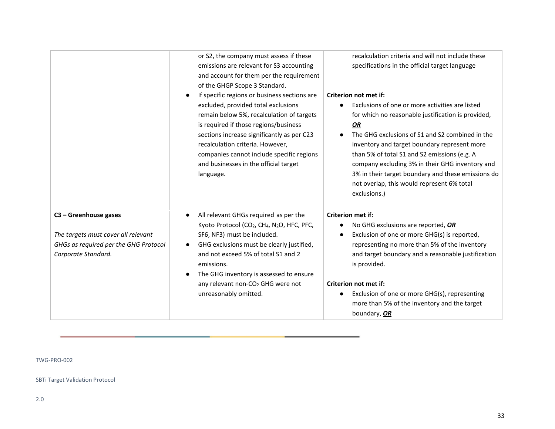|                                                                                                                                | or S2, the company must assess if these<br>emissions are relevant for S3 accounting<br>and account for them per the requirement<br>of the GHGP Scope 3 Standard.<br>If specific regions or business sections are<br>excluded, provided total exclusions<br>remain below 5%, recalculation of targets<br>is required if those regions/business<br>sections increase significantly as per C23<br>recalculation criteria. However,<br>companies cannot include specific regions<br>and businesses in the official target<br>language. | recalculation criteria and will not include these<br>specifications in the official target language<br>Criterion not met if:<br>Exclusions of one or more activities are listed<br>$\bullet$<br>for which no reasonable justification is provided,<br>OR<br>The GHG exclusions of S1 and S2 combined in the<br>$\bullet$<br>inventory and target boundary represent more<br>than 5% of total S1 and S2 emissions (e.g. A<br>company excluding 3% in their GHG inventory and<br>3% in their target boundary and these emissions do<br>not overlap, this would represent 6% total<br>exclusions.) |
|--------------------------------------------------------------------------------------------------------------------------------|------------------------------------------------------------------------------------------------------------------------------------------------------------------------------------------------------------------------------------------------------------------------------------------------------------------------------------------------------------------------------------------------------------------------------------------------------------------------------------------------------------------------------------|-------------------------------------------------------------------------------------------------------------------------------------------------------------------------------------------------------------------------------------------------------------------------------------------------------------------------------------------------------------------------------------------------------------------------------------------------------------------------------------------------------------------------------------------------------------------------------------------------|
| $C3 -$ Greenhouse gases<br>The targets must cover all relevant<br>GHGs as required per the GHG Protocol<br>Corporate Standard. | All relevant GHGs required as per the<br>$\bullet$<br>Kyoto Protocol (CO <sub>2</sub> , CH <sub>4</sub> , N <sub>2</sub> O, HFC, PFC,<br>SF6, NF3) must be included.<br>GHG exclusions must be clearly justified,<br>and not exceed 5% of total S1 and 2<br>emissions.<br>The GHG inventory is assessed to ensure<br>any relevant non-CO <sub>2</sub> GHG were not<br>unreasonably omitted.                                                                                                                                        | <b>Criterion met if:</b><br>No GHG exclusions are reported, OR<br>$\bullet$<br>Exclusion of one or more GHG(s) is reported,<br>$\bullet$<br>representing no more than 5% of the inventory<br>and target boundary and a reasonable justification<br>is provided.<br>Criterion not met if:<br>Exclusion of one or more GHG(s), representing<br>$\bullet$<br>more than 5% of the inventory and the target<br>boundary, OR                                                                                                                                                                          |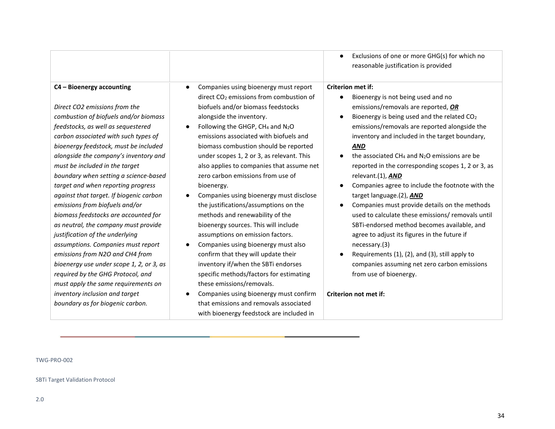|                                                                                                                                                                                                                                                                                                                                                                                                                                                                                                                                                                                                                                                                                                                                                                                                                                                             | Exclusions of one or more GHG(s) for which no<br>$\bullet$<br>reasonable justification is provided                                                                                                                                                                                                                                                                                                                                                                                                                                                                                                                                                                                                                                                                                                                                                                                                                                                                                                                                                                                                                                                                                                                                                                                                                                                                                                                                                                                                                                                                                                                                                                                                                                                                                                                                                                                        |
|-------------------------------------------------------------------------------------------------------------------------------------------------------------------------------------------------------------------------------------------------------------------------------------------------------------------------------------------------------------------------------------------------------------------------------------------------------------------------------------------------------------------------------------------------------------------------------------------------------------------------------------------------------------------------------------------------------------------------------------------------------------------------------------------------------------------------------------------------------------|-------------------------------------------------------------------------------------------------------------------------------------------------------------------------------------------------------------------------------------------------------------------------------------------------------------------------------------------------------------------------------------------------------------------------------------------------------------------------------------------------------------------------------------------------------------------------------------------------------------------------------------------------------------------------------------------------------------------------------------------------------------------------------------------------------------------------------------------------------------------------------------------------------------------------------------------------------------------------------------------------------------------------------------------------------------------------------------------------------------------------------------------------------------------------------------------------------------------------------------------------------------------------------------------------------------------------------------------------------------------------------------------------------------------------------------------------------------------------------------------------------------------------------------------------------------------------------------------------------------------------------------------------------------------------------------------------------------------------------------------------------------------------------------------------------------------------------------------------------------------------------------------|
| C4 - Bioenergy accounting<br>Direct CO2 emissions from the<br>combustion of biofuels and/or biomass<br>feedstocks, as well as sequestered<br>carbon associated with such types of<br>bioenergy feedstock, must be included<br>alongside the company's inventory and<br>must be included in the target<br>boundary when setting a science-based<br>target and when reporting progress<br>against that target. If biogenic carbon<br>emissions from biofuels and/or<br>biomass feedstocks are accounted for<br>as neutral, the company must provide<br>justification of the underlying<br>assumptions. Companies must report<br>emissions from N2O and CH4 from<br>bioenergy use under scope 1, 2, or 3, as<br>required by the GHG Protocol, and<br>must apply the same requirements on<br>inventory inclusion and target<br>boundary as for biogenic carbon. | Companies using bioenergy must report<br><b>Criterion met if:</b><br>$\bullet$<br>direct CO <sub>2</sub> emissions from combustion of<br>Bioenergy is not being used and no<br>$\bullet$<br>biofuels and/or biomass feedstocks<br>emissions/removals are reported, OR<br>Bioenergy is being used and the related CO <sub>2</sub><br>alongside the inventory.<br>$\bullet$<br>emissions/removals are reported alongside the<br>Following the GHGP, CH <sub>4</sub> and N <sub>2</sub> O<br>emissions associated with biofuels and<br>inventory and included in the target boundary,<br>biomass combustion should be reported<br><b>AND</b><br>the associated $CH_4$ and $N_2O$ emissions are be<br>under scopes 1, 2 or 3, as relevant. This<br>also applies to companies that assume net<br>reported in the corresponding scopes 1, 2 or 3, as<br>zero carbon emissions from use of<br>relevant.(1), <b>AND</b><br>Companies agree to include the footnote with the<br>bioenergy.<br>Companies using bioenergy must disclose<br>target language.(2), AND<br>the justifications/assumptions on the<br>Companies must provide details on the methods<br>$\bullet$<br>used to calculate these emissions/ removals until<br>methods and renewability of the<br>SBTi-endorsed method becomes available, and<br>bioenergy sources. This will include<br>agree to adjust its figures in the future if<br>assumptions on emission factors.<br>Companies using bioenergy must also<br>necessary.(3)<br>confirm that they will update their<br>Requirements (1), (2), and (3), still apply to<br>inventory if/when the SBTi endorses<br>companies assuming net zero carbon emissions<br>from use of bioenergy.<br>specific methods/factors for estimating<br>these emissions/removals.<br>Criterion not met if:<br>Companies using bioenergy must confirm<br>that emissions and removals associated |
|                                                                                                                                                                                                                                                                                                                                                                                                                                                                                                                                                                                                                                                                                                                                                                                                                                                             | with bioenergy feedstock are included in                                                                                                                                                                                                                                                                                                                                                                                                                                                                                                                                                                                                                                                                                                                                                                                                                                                                                                                                                                                                                                                                                                                                                                                                                                                                                                                                                                                                                                                                                                                                                                                                                                                                                                                                                                                                                                                  |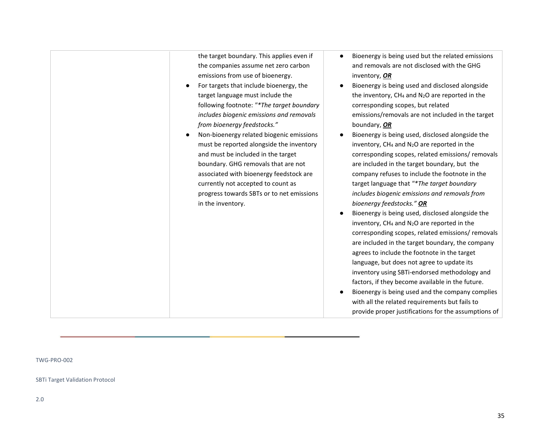| the target boundary. This applies even if<br>the companies assume net zero carbon<br>emissions from use of bioenergy.<br>For targets that include bioenergy, the<br>target language must include the<br>following footnote: "*The target boundary<br>includes biogenic emissions and removals<br>from bioenergy feedstocks."<br>Non-bioenergy related biogenic emissions | Bioenergy is being used but the related emissions<br>and removals are not disclosed with the GHG<br>inventory, OR<br>Bioenergy is being used and disclosed alongside<br>the inventory, CH <sub>4</sub> and N <sub>2</sub> O are reported in the<br>corresponding scopes, but related<br>emissions/removals are not included in the target<br>boundary, OR<br>Bioenergy is being used, disclosed alongside the                                                                                                                                |
|--------------------------------------------------------------------------------------------------------------------------------------------------------------------------------------------------------------------------------------------------------------------------------------------------------------------------------------------------------------------------|----------------------------------------------------------------------------------------------------------------------------------------------------------------------------------------------------------------------------------------------------------------------------------------------------------------------------------------------------------------------------------------------------------------------------------------------------------------------------------------------------------------------------------------------|
| must be reported alongside the inventory<br>and must be included in the target<br>boundary. GHG removals that are not<br>associated with bioenergy feedstock are<br>currently not accepted to count as<br>progress towards SBTs or to net emissions<br>in the inventory.                                                                                                 | inventory, CH <sub>4</sub> and N <sub>2</sub> O are reported in the<br>corresponding scopes, related emissions/removals<br>are included in the target boundary, but the<br>company refuses to include the footnote in the<br>target language that "*The target boundary<br>includes biogenic emissions and removals from<br>bioenergy feedstocks." OR<br>Bioenergy is being used, disclosed alongside the                                                                                                                                    |
|                                                                                                                                                                                                                                                                                                                                                                          | inventory, CH <sub>4</sub> and N <sub>2</sub> O are reported in the<br>corresponding scopes, related emissions/removals<br>are included in the target boundary, the company<br>agrees to include the footnote in the target<br>language, but does not agree to update its<br>inventory using SBTi-endorsed methodology and<br>factors, if they become available in the future.<br>Bioenergy is being used and the company complies<br>with all the related requirements but fails to<br>provide proper justifications for the assumptions of |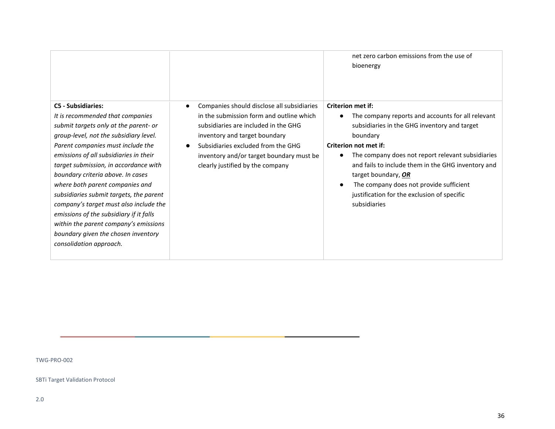|                                                                                                                                                                                                                                                                                                                                                                                                                                                                                                                                                                                             |                                                                                                                                                                                                                                                                                                    | net zero carbon emissions from the use of<br>bioenergy                                                                                                                                                                                                                                                                                                                                                         |
|---------------------------------------------------------------------------------------------------------------------------------------------------------------------------------------------------------------------------------------------------------------------------------------------------------------------------------------------------------------------------------------------------------------------------------------------------------------------------------------------------------------------------------------------------------------------------------------------|----------------------------------------------------------------------------------------------------------------------------------------------------------------------------------------------------------------------------------------------------------------------------------------------------|----------------------------------------------------------------------------------------------------------------------------------------------------------------------------------------------------------------------------------------------------------------------------------------------------------------------------------------------------------------------------------------------------------------|
| <b>C5 - Subsidiaries:</b><br>It is recommended that companies<br>submit targets only at the parent- or<br>group-level, not the subsidiary level.<br>Parent companies must include the<br>emissions of all subsidiaries in their<br>target submission, in accordance with<br>boundary criteria above. In cases<br>where both parent companies and<br>subsidiaries submit targets, the parent<br>company's target must also include the<br>emissions of the subsidiary if it falls<br>within the parent company's emissions<br>boundary given the chosen inventory<br>consolidation approach. | Companies should disclose all subsidiaries<br>$\bullet$<br>in the submission form and outline which<br>subsidiaries are included in the GHG<br>inventory and target boundary<br>Subsidiaries excluded from the GHG<br>inventory and/or target boundary must be<br>clearly justified by the company | <b>Criterion met if:</b><br>The company reports and accounts for all relevant<br>subsidiaries in the GHG inventory and target<br>boundary<br>Criterion not met if:<br>The company does not report relevant subsidiaries<br>and fails to include them in the GHG inventory and<br>target boundary, OR<br>The company does not provide sufficient<br>justification for the exclusion of specific<br>subsidiaries |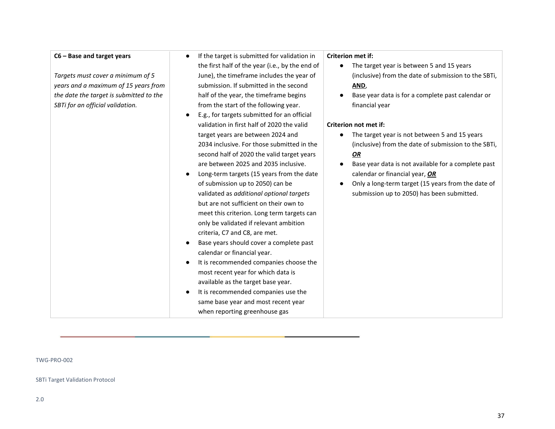#### **C6 – Base and target years**

*Targets must cover a minimum of 5 years and a maximum of 15 years from the date the target is submitted to the SBTi for an official validation.*

- If the target is submitted for validation in the first half of the year (i.e., by the end of June), the timeframe includes the year of submission. If submitted in the second half of the year, the timeframe begins from the start of the following year.
- E.g., for targets submitted for an official validation in first half of 2020 the valid target years are between 2024 and 2034 inclusive. For those submitted in the second half of 2020 the valid target years are between 2025 and 2035 inclusive.
- Long-term targets (15 years from the date of submission up to 2050) can be validated as *additional optional targets* but are not sufficient on their own to meet this criterion. Long term targets can only be validated if relevant ambition criteria, C7 and C8, are met.
- Base years should cover a complete past calendar or financial year.
- It is recommended companies choose the most recent year for which data is available as the target base year.
- It is recommended companies use the same base year and most recent year when reporting greenhouse gas

#### **Criterion met if:**

- The target year is between 5 and 15 years (inclusive) from the date of submission to the SBTi, **AND**,
- Base year data is for a complete past calendar or financial year

#### **Criterion not met if:**

- The target year is not between 5 and 15 years (inclusive) from the date of submission to the SBTi, *OR*
- Base year data is not available for a complete past calendar or financial year, *OR*
- Only a long-term target (15 years from the date of submission up to 2050) has been submitted.

#### TWG-PRO-002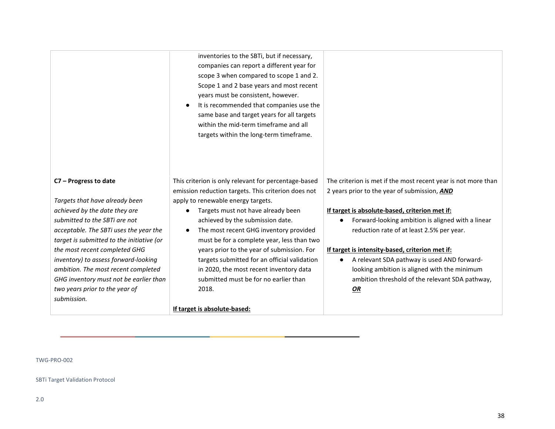|                                           | companies can report a different year for<br>scope 3 when compared to scope 1 and 2.<br>Scope 1 and 2 base years and most recent<br>years must be consistent, however.<br>It is recommended that companies use the<br>$\bullet$<br>same base and target years for all targets<br>within the mid-term timeframe and all<br>targets within the long-term timeframe. |                                                                |
|-------------------------------------------|-------------------------------------------------------------------------------------------------------------------------------------------------------------------------------------------------------------------------------------------------------------------------------------------------------------------------------------------------------------------|----------------------------------------------------------------|
| C7 - Progress to date                     | This criterion is only relevant for percentage-based                                                                                                                                                                                                                                                                                                              | The criterion is met if the most recent year is not more than  |
|                                           | emission reduction targets. This criterion does not                                                                                                                                                                                                                                                                                                               | 2 years prior to the year of submission, AND                   |
| Targets that have already been            | apply to renewable energy targets.                                                                                                                                                                                                                                                                                                                                |                                                                |
| achieved by the date they are             | Targets must not have already been<br>$\bullet$                                                                                                                                                                                                                                                                                                                   | If target is absolute-based, criterion met if:                 |
| submitted to the SBTi are not             | achieved by the submission date.                                                                                                                                                                                                                                                                                                                                  | Forward-looking ambition is aligned with a linear<br>$\bullet$ |
| acceptable. The SBTi uses the year the    | The most recent GHG inventory provided<br>$\bullet$                                                                                                                                                                                                                                                                                                               | reduction rate of at least 2.5% per year.                      |
| target is submitted to the initiative (or | must be for a complete year, less than two                                                                                                                                                                                                                                                                                                                        |                                                                |
| the most recent completed GHG             | years prior to the year of submission. For                                                                                                                                                                                                                                                                                                                        | If target is intensity-based, criterion met if:                |
| inventory) to assess forward-looking      | targets submitted for an official validation                                                                                                                                                                                                                                                                                                                      | A relevant SDA pathway is used AND forward-                    |
| ambition. The most recent completed       | in 2020, the most recent inventory data                                                                                                                                                                                                                                                                                                                           | looking ambition is aligned with the minimum                   |
| GHG inventory must not be earlier than    | submitted must be for no earlier than                                                                                                                                                                                                                                                                                                                             | ambition threshold of the relevant SDA pathway,                |
| two years prior to the year of            | 2018.                                                                                                                                                                                                                                                                                                                                                             | <b>OR</b>                                                      |

**If target is absolute-based:**

inventories to the SBTi, but if necessary,

#### TWG-PRO-002

SBTi Target Validation Protocol

*submission.*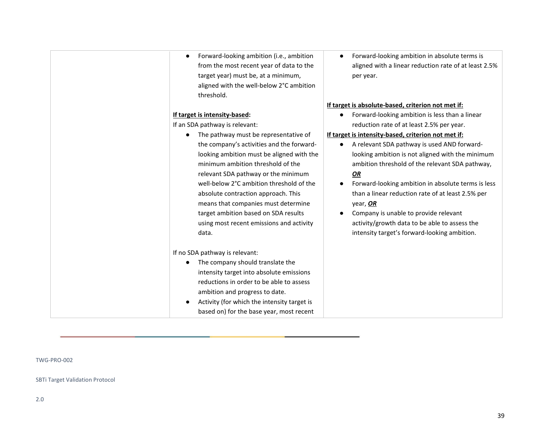Forward-looking ambition (i.e., ambition from the most recent year of data to the target year) must be, at a minimum, aligned with the well-below 2°C ambition threshold.

### **If target is intensity-based:**

If an SDA pathway is relevant:

● The pathway must be representative of the company's activities and the forwardlooking ambition must be aligned with the minimum ambition threshold of the relevant SDA pathway or the minimum well-below 2°C ambition threshold of the absolute contraction approach. This means that companies must determine target ambition based on SDA results using most recent emissions and activity data.

If no SDA pathway is relevant:

- The company should translate the intensity target into absolute emissions reductions in order to be able to assess ambition and progress to date.
- Activity (for which the intensity target is based on) for the base year, most recent

● Forward-looking ambition in absolute terms is aligned with a linear reduction rate of at least 2.5% per year.

### **If target is absolute-based, criterion not met if:**

● Forward-looking ambition is less than a linear reduction rate of at least 2.5% per year.

### **If target is intensity-based, criterion not met if:**

- A relevant SDA pathway is used AND forwardlooking ambition is not aligned with the minimum ambition threshold of the relevant SDA pathway, *OR*
- Forward-looking ambition in absolute terms is less than a linear reduction rate of at least 2.5% per year, *OR*
- Company is unable to provide relevant activity/growth data to be able to assess the intensity target's forward-looking ambition.

TWG-PRO-002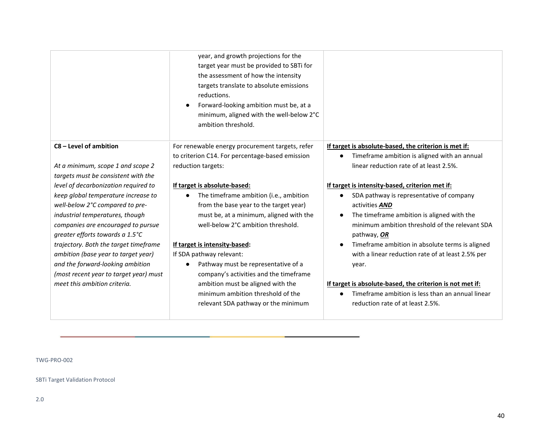## **C8 – Level of ambition**

*At a minimum, scope 1 and scope 2 targets must be consistent with the level of decarbonization required to keep global temperature increase to well-below 2°C compared to preindustrial temperatures, though companies are encouraged to pursue greater efforts towards a 1.5°C trajectory. Both the target timeframe ambition (base year to target year) and the forward-looking ambition (most recent year to target year) must meet this ambition criteria.*

year, and growth projections for the target year must be provided to SBTi for the assessment of how the intensity targets translate to absolute emissions reductions.

● Forward-looking ambition must be, at a minimum, aligned with the well-below 2°C ambition threshold.

For renewable energy procurement targets, refer to criterion C14. For percentage-based emission reduction targets:

#### **If target is absolute-based:**

● The timeframe ambition (i.e., ambition from the base year to the target year) must be, at a minimum, aligned with the well-below 2°C ambition threshold.

#### **If target is intensity-based:**

If SDA pathway relevant:

● Pathway must be representative of a company's activities and the timeframe ambition must be aligned with the minimum ambition threshold of the relevant SDA pathway or the minimum

#### **If target is absolute-based, the criterion is met if:**

● Timeframe ambition is aligned with an annual linear reduction rate of at least 2.5%.

#### **If target is intensity-based, criterion met if:**

- SDA pathway is representative of company activities *AND*
- The timeframe ambition is aligned with the minimum ambition threshold of the relevant SDA pathway, *OR*
- Timeframe ambition in absolute terms is aligned with a linear reduction rate of at least 2.5% per year.

#### **If target is absolute-based, the criterion is not met if:**

● Timeframe ambition is less than an annual linear reduction rate of at least 2.5%.

#### TWG-PRO-002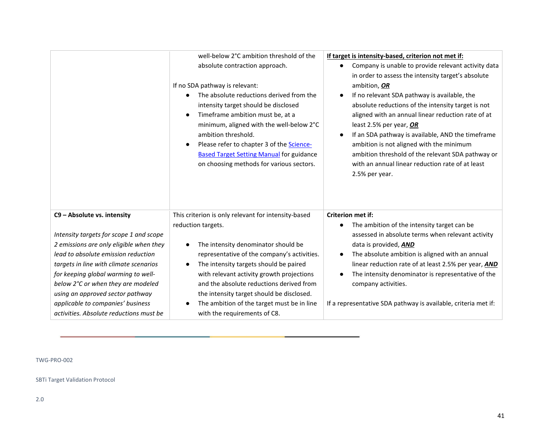|                                                                                                                                                                                                            | well-below 2°C ambition threshold of the<br>absolute contraction approach.<br>If no SDA pathway is relevant:<br>The absolute reductions derived from the<br>intensity target should be disclosed<br>Timeframe ambition must be, at a<br>$\bullet$<br>minimum, aligned with the well-below 2°C<br>ambition threshold.<br>Please refer to chapter 3 of the Science-<br>$\bullet$<br><b>Based Target Setting Manual for guidance</b><br>on choosing methods for various sectors. | If target is intensity-based, criterion not met if:<br>Company is unable to provide relevant activity data<br>in order to assess the intensity target's absolute<br>ambition, OR<br>If no relevant SDA pathway is available, the<br>$\bullet$<br>absolute reductions of the intensity target is not<br>aligned with an annual linear reduction rate of at<br>least 2.5% per year, OR<br>If an SDA pathway is available, AND the timeframe<br>ambition is not aligned with the minimum<br>ambition threshold of the relevant SDA pathway or<br>with an annual linear reduction rate of at least<br>2.5% per year. |
|------------------------------------------------------------------------------------------------------------------------------------------------------------------------------------------------------------|-------------------------------------------------------------------------------------------------------------------------------------------------------------------------------------------------------------------------------------------------------------------------------------------------------------------------------------------------------------------------------------------------------------------------------------------------------------------------------|------------------------------------------------------------------------------------------------------------------------------------------------------------------------------------------------------------------------------------------------------------------------------------------------------------------------------------------------------------------------------------------------------------------------------------------------------------------------------------------------------------------------------------------------------------------------------------------------------------------|
| C9 - Absolute vs. intensity                                                                                                                                                                                | This criterion is only relevant for intensity-based<br>reduction targets.                                                                                                                                                                                                                                                                                                                                                                                                     | <b>Criterion met if:</b><br>The ambition of the intensity target can be                                                                                                                                                                                                                                                                                                                                                                                                                                                                                                                                          |
| Intensity targets for scope 1 and scope<br>2 emissions are only eligible when they<br>lead to absolute emission reduction<br>targets in line with climate scenarios<br>for keeping global warming to well- | The intensity denominator should be<br>$\bullet$<br>representative of the company's activities.<br>The intensity targets should be paired<br>$\bullet$<br>with relevant activity growth projections                                                                                                                                                                                                                                                                           | assessed in absolute terms when relevant activity<br>data is provided, <b>AND</b><br>The absolute ambition is aligned with an annual<br>$\bullet$<br>linear reduction rate of at least 2.5% per year, AND<br>The intensity denominator is representative of the                                                                                                                                                                                                                                                                                                                                                  |
| below 2°C or when they are modeled<br>using an approved sector pathway<br>applicable to companies' business<br>activities. Absolute reductions must be                                                     | and the absolute reductions derived from<br>the intensity target should be disclosed.<br>The ambition of the target must be in line<br>with the requirements of C8.                                                                                                                                                                                                                                                                                                           | company activities.<br>If a representative SDA pathway is available, criteria met if:                                                                                                                                                                                                                                                                                                                                                                                                                                                                                                                            |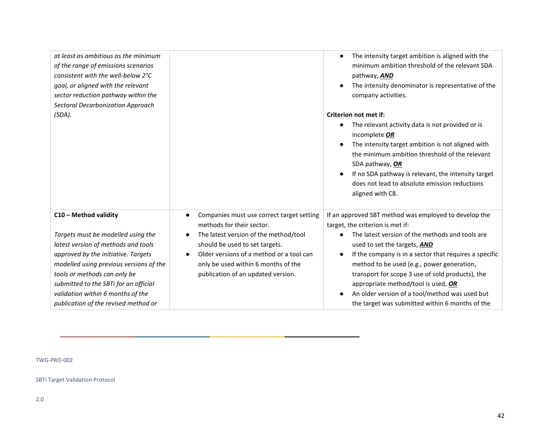*at least as ambitious as the minimum of the range of emissions scenarios consistent with the well-below 2°C goal, or aligned with the relevant sector reduction pathway within the Sectoral Decarbonization Approach (SDA).*

#### **C10 – Method validity**

*Targets must be modelled using the latest version of methods and tools approved by the initiative. Targets modelled using previous versions of the tools or methods can only be submitted to the SBTi for an official validation within 6 months of the publication of the revised method or* 

- Companies must use correct target setting methods for their sector.
- The latest version of the method/tool should be used to set targets.
- Older versions of a method or a tool can only be used within 6 months of the publication of an updated version.
- The intensity target ambition is aligned with the minimum ambition threshold of the relevant SDA pathway, *AND*
- The intensity denominator is representative of the company activities.

#### **Criterion not met if:**

- The relevant activity data is not provided or is incomplete *OR*
- The intensity target ambition is not aligned with the minimum ambition threshold of the relevant SDA pathway, *OR*
- If no SDA pathway is relevant, the intensity target does not lead to absolute emission reductions aligned with C8.

If an approved SBT method was employed to develop the target, the criterion is met if:

- The latest version of the methods and tools are used to set the targets, *AND*
- If the company is in a sector that requires a specific method to be used (e.g., power generation, transport for scope 3 use of sold products), the appropriate method/tool is used, *OR*
- An older version of a tool/method was used but the target was submitted within 6 months of the

TWG-PRO-002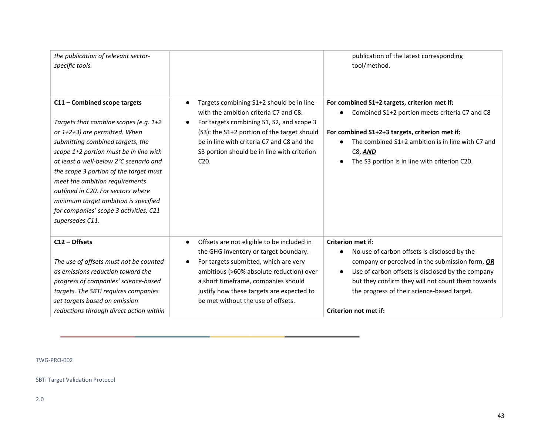| the publication of relevant sector-<br>specific tools.                                                                                                                                                                                                                                                                                                                                                                                                |                                                                                                                                                                                                                                                                                                                              | publication of the latest corresponding<br>tool/method.                                                                                                                                                                                                                                                                    |
|-------------------------------------------------------------------------------------------------------------------------------------------------------------------------------------------------------------------------------------------------------------------------------------------------------------------------------------------------------------------------------------------------------------------------------------------------------|------------------------------------------------------------------------------------------------------------------------------------------------------------------------------------------------------------------------------------------------------------------------------------------------------------------------------|----------------------------------------------------------------------------------------------------------------------------------------------------------------------------------------------------------------------------------------------------------------------------------------------------------------------------|
| C11 - Combined scope targets<br>Targets that combine scopes (e.g. 1+2<br>or 1+2+3) are permitted. When<br>submitting combined targets, the<br>scope 1+2 portion must be in line with<br>at least a well-below 2°C scenario and<br>the scope 3 portion of the target must<br>meet the ambition requirements<br>outlined in C20. For sectors where<br>minimum target ambition is specified<br>for companies' scope 3 activities, C21<br>supersedes C11. | Targets combining S1+2 should be in line<br>with the ambition criteria C7 and C8.<br>For targets combining S1, S2, and scope 3<br>(S3): the S1+2 portion of the target should<br>be in line with criteria C7 and C8 and the<br>S3 portion should be in line with criterion<br>C <sub>20</sub>                                | For combined S1+2 targets, criterion met if:<br>Combined S1+2 portion meets criteria C7 and C8<br>For combined S1+2+3 targets, criterion met if:<br>The combined S1+2 ambition is in line with C7 and<br>C8, AND<br>The S3 portion is in line with criterion C20.                                                          |
| C12 - Offsets<br>The use of offsets must not be counted<br>as emissions reduction toward the<br>progress of companies' science-based<br>targets. The SBTi requires companies<br>set targets based on emission<br>reductions through direct action within                                                                                                                                                                                              | Offsets are not eligible to be included in<br>$\bullet$<br>the GHG inventory or target boundary.<br>For targets submitted, which are very<br>$\bullet$<br>ambitious (>60% absolute reduction) over<br>a short timeframe, companies should<br>justify how these targets are expected to<br>be met without the use of offsets. | <b>Criterion met if:</b><br>No use of carbon offsets is disclosed by the<br>$\bullet$<br>company or perceived in the submission form, OR<br>Use of carbon offsets is disclosed by the company<br>but they confirm they will not count them towards<br>the progress of their science-based target.<br>Criterion not met if: |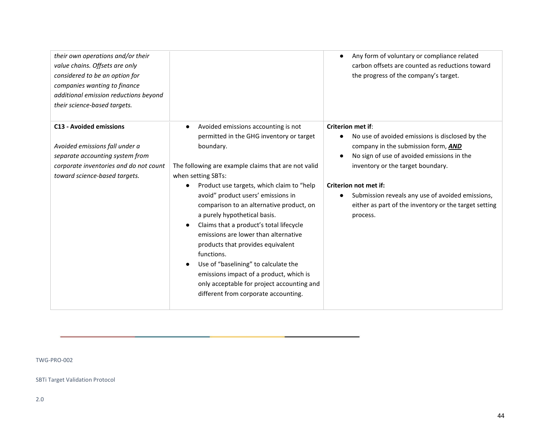| their own operations and/or their<br>value chains. Offsets are only<br>considered to be an option for<br>companies wanting to finance<br>additional emission reductions beyond<br>their science-based targets. |                                                                                                                                                                                                                                                                                                                                                                                                                                                                             | Any form of voluntary or compliance related<br>carbon offsets are counted as reductions toward<br>the progress of the company's target.        |
|----------------------------------------------------------------------------------------------------------------------------------------------------------------------------------------------------------------|-----------------------------------------------------------------------------------------------------------------------------------------------------------------------------------------------------------------------------------------------------------------------------------------------------------------------------------------------------------------------------------------------------------------------------------------------------------------------------|------------------------------------------------------------------------------------------------------------------------------------------------|
| <b>C13 - Avoided emissions</b><br>Avoided emissions fall under a                                                                                                                                               | Avoided emissions accounting is not<br>$\bullet$<br>permitted in the GHG inventory or target<br>boundary.                                                                                                                                                                                                                                                                                                                                                                   | <b>Criterion met if:</b><br>No use of avoided emissions is disclosed by the<br>company in the submission form, AND                             |
| separate accounting system from                                                                                                                                                                                |                                                                                                                                                                                                                                                                                                                                                                                                                                                                             | No sign of use of avoided emissions in the                                                                                                     |
| corporate inventories and do not count                                                                                                                                                                         | The following are example claims that are not valid                                                                                                                                                                                                                                                                                                                                                                                                                         | inventory or the target boundary.                                                                                                              |
| toward science-based targets.                                                                                                                                                                                  | when setting SBTs:                                                                                                                                                                                                                                                                                                                                                                                                                                                          |                                                                                                                                                |
|                                                                                                                                                                                                                | Product use targets, which claim to "help"<br>avoid" product users' emissions in<br>comparison to an alternative product, on<br>a purely hypothetical basis.<br>Claims that a product's total lifecycle<br>emissions are lower than alternative<br>products that provides equivalent<br>functions.<br>Use of "baselining" to calculate the<br>emissions impact of a product, which is<br>only acceptable for project accounting and<br>different from corporate accounting. | Criterion not met if:<br>Submission reveals any use of avoided emissions,<br>either as part of the inventory or the target setting<br>process. |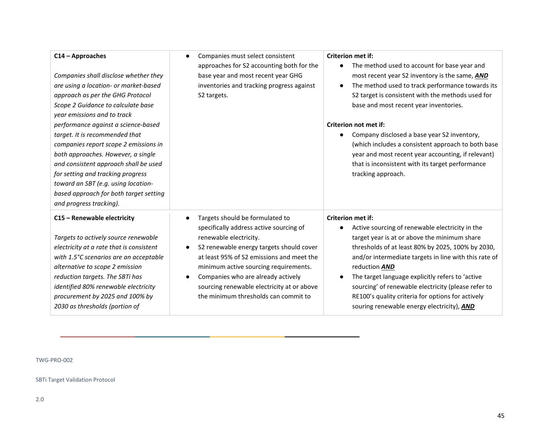#### **C14 – Approaches**

*Companies shall disclose whether they are using a location- or market-based approach as per the GHG Protocol Scope 2 Guidance to calculate base year emissions and to track performance against a science-based target. It is recommended that companies report scope 2 emissions in both approaches. However, a single and consistent approach shall be used for setting and tracking progress toward an SBT (e.g. using locationbased approach for both target setting and progress tracking).*

#### **C15 – Renewable electricity**

*Targets to actively source renewable electricity at a rate that is consistent with 1.5°C scenarios are an acceptable alternative to scope 2 emission reduction targets. The SBTi has identified 80% renewable electricity procurement by 2025 and 100% by 2030 as thresholds (portion of* 

Companies must select consistent approaches for S2 accounting both for the base year and most recent year GHG inventories and tracking progress against S2 targets.

- Targets should be formulated to specifically address active sourcing of renewable electricity.
- S2 renewable energy targets should cover at least 95% of S2 emissions and meet the minimum active sourcing requirements.
- Companies who are already actively sourcing renewable electricity at or above the minimum thresholds can commit to

#### **Criterion met if:**

- The method used to account for base year and most recent year S2 inventory is the same, *AND*
- The method used to track performance towards its S2 target is consistent with the methods used for base and most recent year inventories.

#### **Criterion not met if:**

● Company disclosed a base year S2 inventory, (which includes a consistent approach to both base year and most recent year accounting, if relevant) that is inconsistent with its target performance tracking approach.

#### **Criterion met if:**

- Active sourcing of renewable electricity in the target year is at or above the minimum share thresholds of at least 80% by 2025, 100% by 2030, and/or intermediate targets in line with this rate of reduction *AND*
- The target language explicitly refers to 'active sourcing' of renewable electricity (please refer to RE100's [quality criteria](http://media.virbcdn.com/files/73/4c55f6034585b02f-RE100TechnicalCriteria.pdf) for options for actively souring renewable energy electricity), *AND*

#### TWG-PRO-002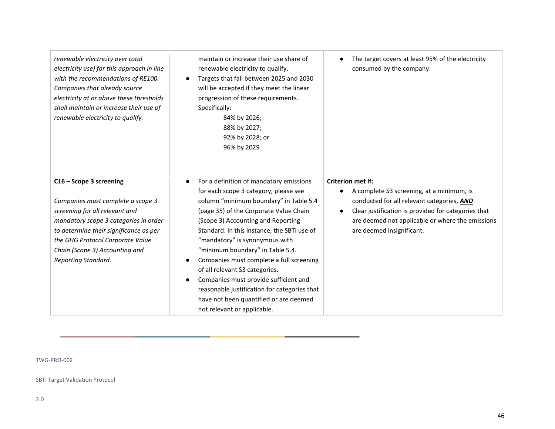| renewable electricity over total<br>electricity use) for this approach in line<br>with the recommendations of RE100.<br>Companies that already source<br>electricity at or above these thresholds<br>shall maintain or increase their use of<br>renewable electricity to qualify. | maintain or increase their use share of<br>renewable electricity to qualify.<br>Targets that fall between 2025 and 2030<br>$\bullet$<br>will be accepted if they meet the linear<br>progression of these requirements.<br>Specifically:<br>84% by 2026;<br>88% by 2027;<br>92% by 2028; or<br>96% by 2029                                                                                                                                                                                                                                                                                                              | The target covers at least 95% of the electricity<br>consumed by the company.                                                                                                                                                                                            |
|-----------------------------------------------------------------------------------------------------------------------------------------------------------------------------------------------------------------------------------------------------------------------------------|------------------------------------------------------------------------------------------------------------------------------------------------------------------------------------------------------------------------------------------------------------------------------------------------------------------------------------------------------------------------------------------------------------------------------------------------------------------------------------------------------------------------------------------------------------------------------------------------------------------------|--------------------------------------------------------------------------------------------------------------------------------------------------------------------------------------------------------------------------------------------------------------------------|
| C16 - Scope 3 screening<br>Companies must complete a scope 3<br>screening for all relevant and<br>mandatory scope 3 categories in order<br>to determine their significance as per<br>the GHG Protocol Corporate Value<br>Chain (Scope 3) Accounting and<br>Reporting Standard.    | For a definition of mandatory emissions<br>$\bullet$<br>for each scope 3 category, please see<br>column "minimum boundary" in Table 5.4<br>(page 35) of the Corporate Value Chain<br>(Scope 3) Accounting and Reporting<br>Standard. In this instance, the SBTi use of<br>"mandatory" is synonymous with<br>"minimum boundary" in Table 5.4.<br>Companies must complete a full screening<br>$\bullet$<br>of all relevant S3 categories.<br>Companies must provide sufficient and<br>$\bullet$<br>reasonable justification for categories that<br>have not been quantified or are deemed<br>not relevant or applicable. | <b>Criterion met if:</b><br>A complete S3 screening, at a minimum, is<br>conducted for all relevant categories, AND<br>Clear justification is provided for categories that<br>$\bullet$<br>are deemed not applicable or where the emissions<br>are deemed insignificant. |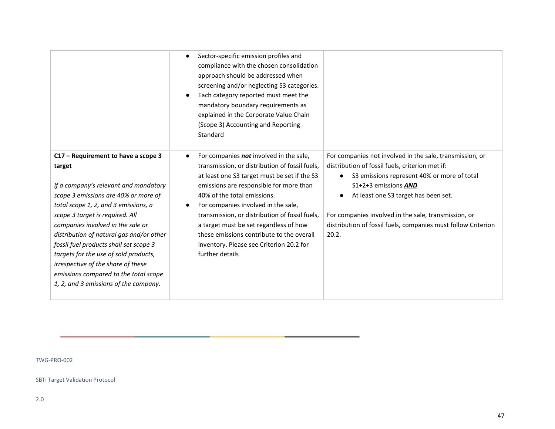|                                                                                                                                                                                                                                                                                                                                                                                                                                                                                                       | Sector-specific emission profiles and<br>$\bullet$<br>compliance with the chosen consolidation<br>approach should be addressed when<br>screening and/or neglecting S3 categories.<br>Each category reported must meet the<br>mandatory boundary requirements as<br>explained in the Corporate Value Chain<br>(Scope 3) Accounting and Reporting<br>Standard                                                                                                        |                                                                                                                                                                                                                                                                                                                                                              |
|-------------------------------------------------------------------------------------------------------------------------------------------------------------------------------------------------------------------------------------------------------------------------------------------------------------------------------------------------------------------------------------------------------------------------------------------------------------------------------------------------------|--------------------------------------------------------------------------------------------------------------------------------------------------------------------------------------------------------------------------------------------------------------------------------------------------------------------------------------------------------------------------------------------------------------------------------------------------------------------|--------------------------------------------------------------------------------------------------------------------------------------------------------------------------------------------------------------------------------------------------------------------------------------------------------------------------------------------------------------|
| C17 - Requirement to have a scope 3<br>target<br>If a company's relevant and mandatory<br>scope 3 emissions are 40% or more of<br>total scope 1, 2, and 3 emissions, a<br>scope 3 target is required. All<br>companies involved in the sale or<br>distribution of natural gas and/or other<br>fossil fuel products shall set scope 3<br>targets for the use of sold products,<br>irrespective of the share of these<br>emissions compared to the total scope<br>1, 2, and 3 emissions of the company. | For companies not involved in the sale,<br>transmission, or distribution of fossil fuels,<br>at least one S3 target must be set if the S3<br>emissions are responsible for more than<br>40% of the total emissions.<br>For companies involved in the sale,<br>transmission, or distribution of fossil fuels,<br>a target must be set regardless of how<br>these emissions contribute to the overall<br>inventory. Please see Criterion 20.2 for<br>further details | For companies not involved in the sale, transmission, or<br>distribution of fossil fuels, criterion met if:<br>S3 emissions represent 40% or more of total<br>S1+2+3 emissions AND<br>At least one S3 target has been set.<br>For companies involved in the sale, transmission, or<br>distribution of fossil fuels, companies must follow Criterion<br>20.2. |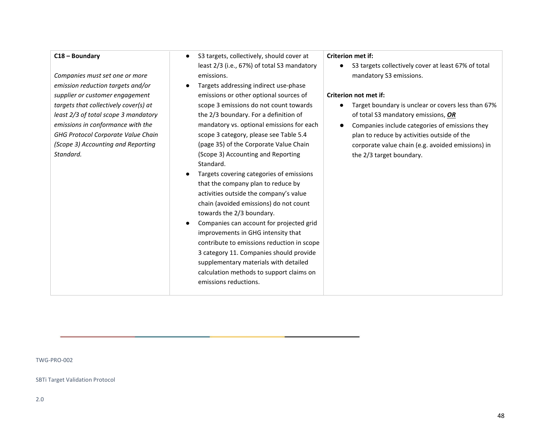#### **C18 – Boundary**

*Companies must set one or more emission reduction targets and/or supplier or customer engagement targets that collectively cover(s) at least 2/3 of total scope 3 mandatory emissions in conformance with the GHG Protocol Corporate Value Chain (Scope 3) Accounting and Reporting Standard.*

- S3 targets, collectively, should cover at least 2/3 (i.e., 67%) of total S3 mandatory emissions.
- Targets addressing indirect use-phase emissions or other optional sources of scope 3 emissions do not count towards the 2/3 boundary. For a definition of mandatory vs. optional emissions for each scope 3 category, please see Table 5.4 (page 35) of the [Corporate Value Chain](https://ghgprotocol.org/sites/default/files/standards/Corporate-Value-Chain-Accounting-Reporing-Standard_041613_2.pdf)  [\(Scope 3\) Accounting and Reporting](https://ghgprotocol.org/sites/default/files/standards/Corporate-Value-Chain-Accounting-Reporing-Standard_041613_2.pdf)  [Standard.](https://ghgprotocol.org/sites/default/files/standards/Corporate-Value-Chain-Accounting-Reporing-Standard_041613_2.pdf)
- Targets covering categories of emissions that the company plan to reduce by activities outside the company's value chain (avoided emissions) do not count towards the 2/3 boundary.
- Companies can account for projected grid improvements in GHG intensity that contribute to emissions reduction in scope 3 category 11. Companies should provide supplementary materials with detailed calculation methods to support claims on emissions reductions.

#### **Criterion met if:**

● S3 targets collectively cover at least 67% of total mandatory S3 emissions.

#### **Criterion not met if:**

- Target boundary is unclear or covers less than 67% of total S3 mandatory emissions, *OR*
- Companies include categories of emissions they plan to reduce by activities outside of the corporate value chain (e.g. avoided emissions) in the 2/3 target boundary.

TWG-PRO-002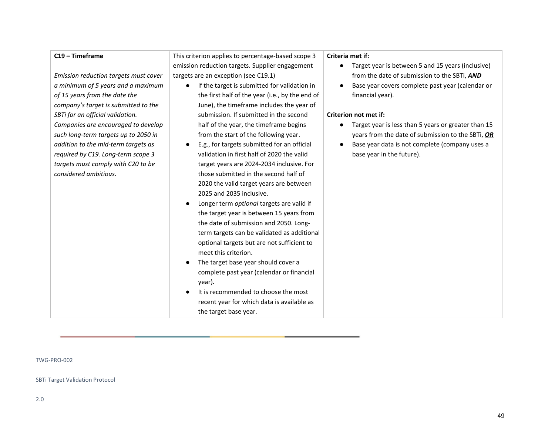#### **C19 – Timeframe**

*Emission reduction targets must cover a minimum of 5 years and a maximum of 15 years from the date the company's target is submitted to the SBTi for an official validation. Companies are encouraged to develop such long-term targets up to 2050 in addition to the mid-term targets as required by C19. Long-term scope 3 targets must comply with C20 to be considered ambitious.*

This criterion applies to percentage-based scope 3 emission reduction targets. Supplier engagement targets are an exception (see C19.1)

- If the target is submitted for validation in the first half of the year (i.e., by the end of June), the timeframe includes the year of submission. If submitted in the second half of the year, the timeframe begins from the start of the following year.
- E.g., for targets submitted for an official validation in first half of 2020 the valid target years are 2024-2034 inclusive. For those submitted in the second half of 2020 the valid target years are between 2025 and 2035 inclusive.
- Longer term *optional* targets are valid if the target year is between 15 years from the date of submission and 2050. Longterm targets can be validated as additional optional targets but are not sufficient to meet this criterion.
- The target base year should cover a complete past year (calendar or financial year).
- It is recommended to choose the most recent year for which data is available as the target base year.

#### **Criteria met if:**

- Target year is between 5 and 15 years (inclusive) from the date of submission to the SBTi, *AND*
- Base year covers complete past year (calendar or financial year).

#### **Criterion not met if:**

- Target year is less than 5 years or greater than 15 years from the date of submission to the SBTi, *OR*
- Base year data is not complete (company uses a base year in the future).

#### TWG-PRO-002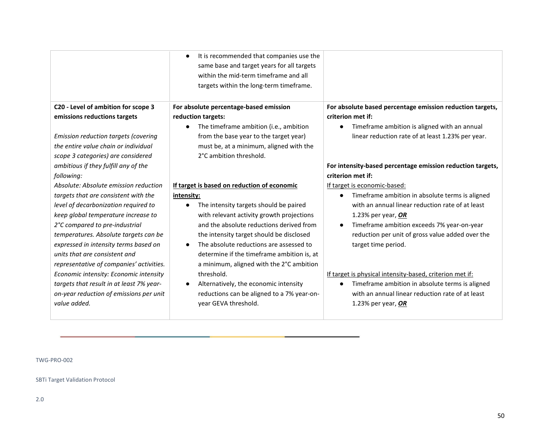**C20 - Level of ambition for scope 3 emissions reductions targets**

*Emission reduction targets (covering the entire value chain or individual scope 3 categories) are considered ambitious if they fulfill any of the following:*

*Absolute: Absolute emission reduction targets that are consistent with the level of decarbonization required to keep global temperature increase to 2°C compared to pre-industrial temperatures. Absolute targets can be expressed in intensity terms based on units that are consistent and representative of companies' activities. Economic intensity: Economic intensity targets that result in at least 7% yearon-year reduction of emissions per unit value added.*

It is recommended that companies use the same base and target years for all targets within the mid-term timeframe and all targets within the long-term timeframe.

### **For absolute percentage-based emission reduction targets:**

● The timeframe ambition (i.e., ambition from the base year to the target year) must be, at a minimum, aligned with the 2°C ambition threshold.

### **If target is based on reduction of economic intensity:**

- The intensity targets should be paired with relevant activity growth projections and the absolute reductions derived from the intensity target should be disclosed
- The absolute reductions are assessed to determine if the timeframe ambition is, at a minimum, aligned with the 2°C ambition threshold.
- Alternatively, the economic intensity reductions can be aligned to a 7% year-onyear GEVA threshold.

### **For absolute based percentage emission reduction targets, criterion met if:**

● Timeframe ambition is aligned with an annual linear reduction rate of at least 1.23% per year.

### **For intensity-based percentage emission reduction targets, criterion met if:**

If target is economic-based:

- Timeframe ambition in absolute terms is aligned with an annual linear reduction rate of at least 1.23% per year, *OR*
- Timeframe ambition exceeds 7% year-on-year reduction per unit of gross value added over the target time period.

### If target is physical intensity-based, criterion met if:

● Timeframe ambition in absolute terms is aligned with an annual linear reduction rate of at least 1.23% per year, *OR*

### TWG-PRO-002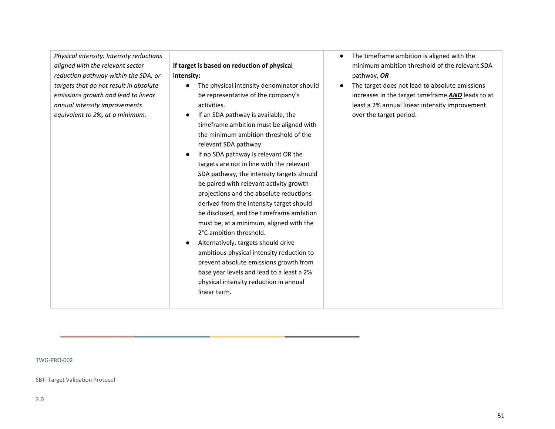*Physical intensity: Intensity reductions aligned with the relevant sector reduction pathway within the SDA; or targets that do not result in absolute emissions growth and lead to linear annual intensity improvements equivalent to 2%, at a minimum.*

#### **If target is based on reduction of physical**

#### **intensity:**

- The physical intensity denominator should be representative of the company's activities.
- If an SDA pathway is available, the timeframe ambition must be aligned with the minimum ambition threshold of the relevant SDA pathway
- If no SDA pathway is relevant OR the targets are not in line with the relevant SDA pathway, the intensity targets should be paired with relevant activity growth projections and the absolute reductions derived from the intensity target should be disclosed, and the timeframe ambition must be, at a minimum, aligned with the 2°C ambition threshold.
- Alternatively, targets should drive ambitious physical intensity reduction to prevent absolute emissions growth from base year levels and lead to a least a 2% physical intensity reduction in annual linear term.
- The timeframe ambition is aligned with the minimum ambition threshold of the relevant SDA pathway, *OR*
- The target does not lead to absolute emissions increases in the target timeframe *AND* leads to at least a 2% annual linear intensity improvement over the target period.

TWG-PRO-002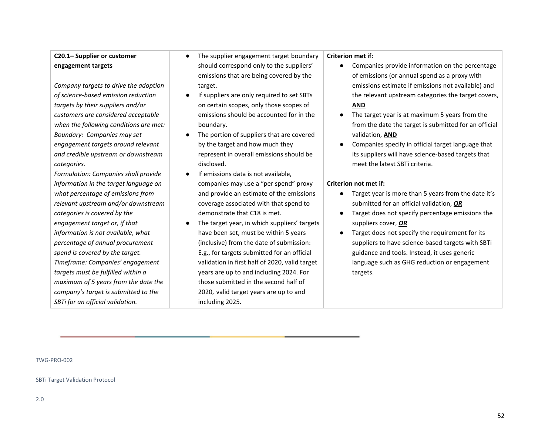### **C20.1– Supplier or customer engagement targets**

*Company targets to drive the adoption of science-based emission reduction targets by their suppliers and/or customers are considered acceptable when the following conditions are met: Boundary: Companies may set engagement targets around relevant and credible upstream or downstream categories.*

*Formulation: Companies shall provide information in the target language on what percentage of emissions from relevant upstream and/or downstream categories is covered by the engagement target or, if that information is not available, what percentage of annual procurement spend is covered by the target. Timeframe: Companies' engagement targets must be fulfilled within a maximum of 5 years from the date the company's target is submitted to the SBTi for an official validation.*

- The supplier engagement target boundary should correspond only to the suppliers' emissions that are being covered by the target.
- If suppliers are only required to set SBTs on certain scopes, only those scopes of emissions should be accounted for in the boundary.
- The portion of suppliers that are covered by the target and how much they represent in overall emissions should be disclosed.
- If emissions data is not available. companies may use a "per spend" proxy and provide an estimate of the emissions coverage associated with that spend to demonstrate that C18 is met.
- The target year, in which suppliers' targets have been set, must be within 5 years (inclusive) from the date of submission: E.g., for targets submitted for an official validation in first half of 2020, valid target years are up to and including 2024. For those submitted in the second half of 2020, valid target years are up to and including 2025.

#### **Criterion met if:**

- Companies provide information on the percentage of emissions (or annual spend as a proxy with emissions estimate if emissions not available) and the relevant upstream categories the target covers, **AND**
- The target year is at maximum 5 years from the from the date the target is submitted for an official validation, **AND**
- Companies specify in official target language that its suppliers will have science-based targets that meet the latest SBTi criteria.

#### **Criterion not met if:**

- Target year is more than 5 years from the date it's submitted for an official validation, *OR*
- Target does not specify percentage emissions the suppliers cover, *OR*
- Target does not specify the requirement for its suppliers to have science-based targets with SBTi guidance and tools. Instead, it uses generic language such as GHG reduction or engagement targets.

TWG-PRO-002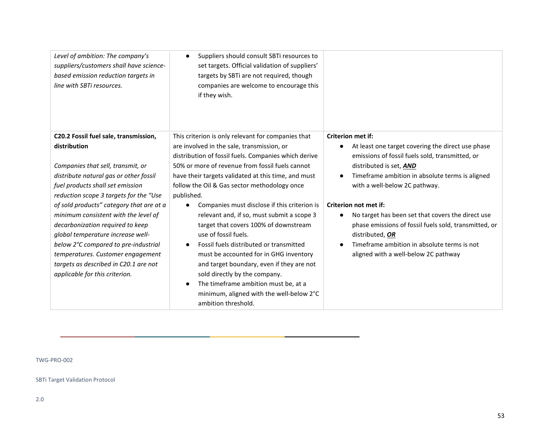*Level of ambition: The company's suppliers/customers shall have sciencebased emission reduction targets in line with SBTi resources.* 

● Suppliers should consult SBTi resources to set targets. Official validation of suppliers' targets by SBTi are not required, though companies are welcome to encourage this if they wish.

### **C20.2 Fossil fuel sale, transmission, distribution**

*Companies that sell, transmit, or distribute natural gas or other fossil fuel products shall set emission reduction scope 3 targets for the "Use of sold products" category that are at a minimum consistent with the level of decarbonization required to keep global temperature increase wellbelow 2°C compared to pre-industrial temperatures. Customer engagement targets as described in C20.1 are not applicable for this criterion.*

This criterion is only relevant for companies that are involved in the sale, transmission, or distribution of fossil fuels. Companies which derive 50% or more of revenue from fossil fuels cannot have their targets validated at this time, and must follow the Oil & Gas sector methodology once published.

- Companies must disclose if this criterion is relevant and, if so, must submit a scope 3 target that covers 100% of downstream use of fossil fuels.
- Fossil fuels distributed or transmitted must be accounted for in GHG inventory and target boundary, even if they are not sold directly by the company.
- The timeframe ambition must be, at a minimum, aligned with the well-below 2°C ambition threshold.

#### **Criterion met if:**

- At least one target covering the direct use phase emissions of fossil fuels sold, transmitted, or distributed is set, *AND*
- Timeframe ambition in absolute terms is aligned with a well-below 2C pathway.

#### **Criterion not met if:**

- No target has been set that covers the direct use phase emissions of fossil fuels sold, transmitted, or distributed, *OR*
- Timeframe ambition in absolute terms is not aligned with a well-below 2C pathway

#### TWG-PRO-002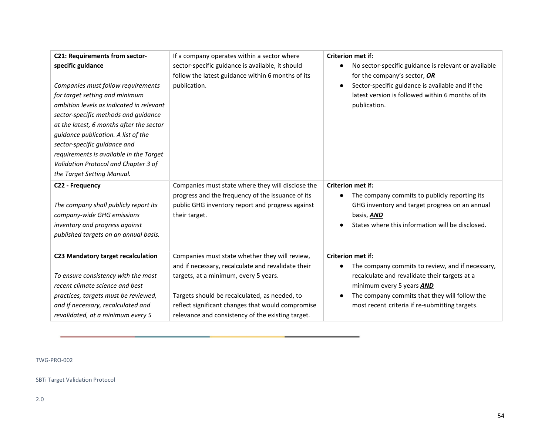| <b>C21: Requirements from sector-</b><br>specific guidance<br>Companies must follow requirements<br>for target setting and minimum<br>ambition levels as indicated in relevant<br>sector-specific methods and guidance<br>at the latest, 6 months after the sector<br>guidance publication. A list of the<br>sector-specific guidance and<br>requirements is available in the Target | If a company operates within a sector where<br>sector-specific guidance is available, it should<br>follow the latest guidance within 6 months of its<br>publication.                                                                                                                                     | <b>Criterion met if:</b><br>No sector-specific guidance is relevant or available<br>$\bullet$<br>for the company's sector, OR<br>Sector-specific guidance is available and if the<br>$\bullet$<br>latest version is followed within 6 months of its<br>publication. |
|--------------------------------------------------------------------------------------------------------------------------------------------------------------------------------------------------------------------------------------------------------------------------------------------------------------------------------------------------------------------------------------|----------------------------------------------------------------------------------------------------------------------------------------------------------------------------------------------------------------------------------------------------------------------------------------------------------|---------------------------------------------------------------------------------------------------------------------------------------------------------------------------------------------------------------------------------------------------------------------|
| Validation Protocol and Chapter 3 of<br>the Target Setting Manual.                                                                                                                                                                                                                                                                                                                   |                                                                                                                                                                                                                                                                                                          |                                                                                                                                                                                                                                                                     |
| C22 - Frequency<br>The company shall publicly report its<br>company-wide GHG emissions<br>inventory and progress against<br>published targets on an annual basis.                                                                                                                                                                                                                    | Companies must state where they will disclose the<br>progress and the frequency of the issuance of its<br>public GHG inventory report and progress against<br>their target.                                                                                                                              | <b>Criterion met if:</b><br>The company commits to publicly reporting its<br>$\bullet$<br>GHG inventory and target progress on an annual<br>basis, AND<br>States where this information will be disclosed.<br>$\bullet$                                             |
| C23 Mandatory target recalculation<br>To ensure consistency with the most<br>recent climate science and best<br>practices, targets must be reviewed,<br>and if necessary, recalculated and<br>revalidated, at a minimum every 5                                                                                                                                                      | Companies must state whether they will review,<br>and if necessary, recalculate and revalidate their<br>targets, at a minimum, every 5 years.<br>Targets should be recalculated, as needed, to<br>reflect significant changes that would compromise<br>relevance and consistency of the existing target. | <b>Criterion met if:</b><br>The company commits to review, and if necessary,<br>recalculate and revalidate their targets at a<br>minimum every 5 years AND<br>The company commits that they will follow the<br>most recent criteria if re-submitting targets.       |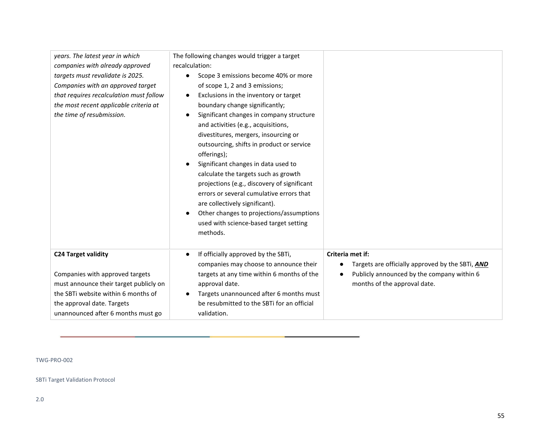| years. The latest year in which<br>companies with already approved<br>targets must revalidate is 2025.<br>Companies with an approved target<br>that requires recalculation must follow<br>the most recent applicable criteria at<br>the time of resubmission. | The following changes would trigger a target<br>recalculation:<br>Scope 3 emissions become 40% or more<br>$\bullet$<br>of scope 1, 2 and 3 emissions;<br>Exclusions in the inventory or target<br>boundary change significantly;<br>Significant changes in company structure<br>and activities (e.g., acquisitions,<br>divestitures, mergers, insourcing or<br>outsourcing, shifts in product or service<br>offerings);<br>Significant changes in data used to<br>calculate the targets such as growth<br>projections (e.g., discovery of significant<br>errors or several cumulative errors that<br>are collectively significant).<br>Other changes to projections/assumptions<br>used with science-based target setting<br>methods. |                                                                                                                                                                 |
|---------------------------------------------------------------------------------------------------------------------------------------------------------------------------------------------------------------------------------------------------------------|---------------------------------------------------------------------------------------------------------------------------------------------------------------------------------------------------------------------------------------------------------------------------------------------------------------------------------------------------------------------------------------------------------------------------------------------------------------------------------------------------------------------------------------------------------------------------------------------------------------------------------------------------------------------------------------------------------------------------------------|-----------------------------------------------------------------------------------------------------------------------------------------------------------------|
| <b>C24 Target validity</b><br>Companies with approved targets<br>must announce their target publicly on<br>the SBTi website within 6 months of<br>the approval date. Targets<br>unannounced after 6 months must go                                            | If officially approved by the SBTi,<br>$\bullet$<br>companies may choose to announce their<br>targets at any time within 6 months of the<br>approval date.<br>Targets unannounced after 6 months must<br>be resubmitted to the SBTi for an official<br>validation.                                                                                                                                                                                                                                                                                                                                                                                                                                                                    | Criteria met if:<br>Targets are officially approved by the SBTi, AND<br>$\bullet$<br>Publicly announced by the company within 6<br>months of the approval date. |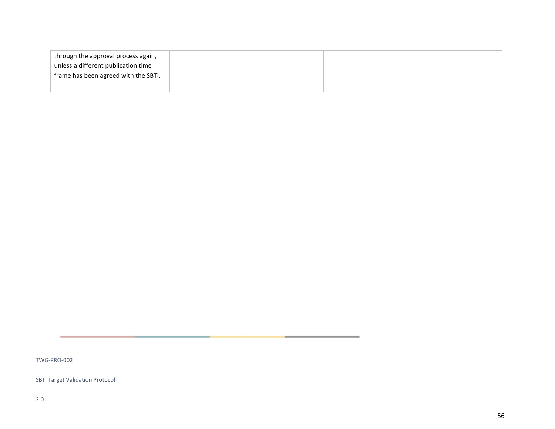| through the approval process again,  |  |
|--------------------------------------|--|
| unless a different publication time  |  |
| frame has been agreed with the SBTi. |  |
|                                      |  |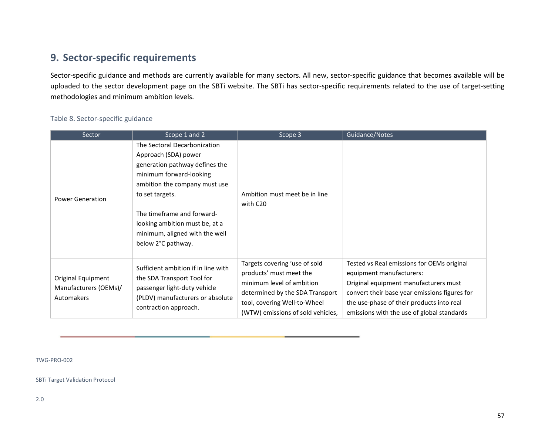## **9. Sector-specific requirements**

Sector-specific guidance and methods are currently available for many sectors. All new, sector-specific guidance that becomes available will be uploaded to the sector development page on the SBTi website. The SBTi has sector-specific requirements related to the use of target-setting methodologies and minimum ambition levels.

### Table 8. Sector-specific guidance

<span id="page-56-0"></span>

| Sector                                                    | Scope 1 and 2                                                                                                                                                                                                                                                                                 | Scope 3                                                                                                                                                                                       | Guidance/Notes                                                                                                                                                                                                                                              |
|-----------------------------------------------------------|-----------------------------------------------------------------------------------------------------------------------------------------------------------------------------------------------------------------------------------------------------------------------------------------------|-----------------------------------------------------------------------------------------------------------------------------------------------------------------------------------------------|-------------------------------------------------------------------------------------------------------------------------------------------------------------------------------------------------------------------------------------------------------------|
| <b>Power Generation</b>                                   | The Sectoral Decarbonization<br>Approach (SDA) power<br>generation pathway defines the<br>minimum forward-looking<br>ambition the company must use<br>to set targets.<br>The timeframe and forward-<br>looking ambition must be, at a<br>minimum, aligned with the well<br>below 2°C pathway. | Ambition must meet be in line<br>with C20                                                                                                                                                     |                                                                                                                                                                                                                                                             |
| Original Equipment<br>Manufacturers (OEMs)/<br>Automakers | Sufficient ambition if in line with<br>the SDA Transport Tool for<br>passenger light-duty vehicle<br>(PLDV) manufacturers or absolute<br>contraction approach.                                                                                                                                | Targets covering 'use of sold<br>products' must meet the<br>minimum level of ambition<br>determined by the SDA Transport<br>tool, covering Well-to-Wheel<br>(WTW) emissions of sold vehicles, | Tested vs Real emissions for OEMs original<br>equipment manufacturers:<br>Original equipment manufacturers must<br>convert their base year emissions figures for<br>the use-phase of their products into real<br>emissions with the use of global standards |

TWG-PRO-002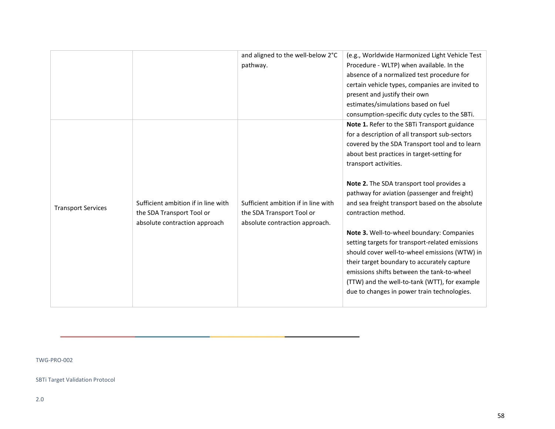|                           |                                                                                                   | and aligned to the well-below 2°C<br>pathway.                                                      | (e.g., Worldwide Harmonized Light Vehicle Test<br>Procedure - WLTP) when available. In the<br>absence of a normalized test procedure for<br>certain vehicle types, companies are invited to<br>present and justify their own<br>estimates/simulations based on fuel<br>consumption-specific duty cycles to the SBTi.                                                                                                                                                                                                                                                                                                                                                                                                                         |
|---------------------------|---------------------------------------------------------------------------------------------------|----------------------------------------------------------------------------------------------------|----------------------------------------------------------------------------------------------------------------------------------------------------------------------------------------------------------------------------------------------------------------------------------------------------------------------------------------------------------------------------------------------------------------------------------------------------------------------------------------------------------------------------------------------------------------------------------------------------------------------------------------------------------------------------------------------------------------------------------------------|
| <b>Transport Services</b> | Sufficient ambition if in line with<br>the SDA Transport Tool or<br>absolute contraction approach | Sufficient ambition if in line with<br>the SDA Transport Tool or<br>absolute contraction approach. | Note 1. Refer to the SBTi Transport guidance<br>for a description of all transport sub-sectors<br>covered by the SDA Transport tool and to learn<br>about best practices in target-setting for<br>transport activities.<br>Note 2. The SDA transport tool provides a<br>pathway for aviation (passenger and freight)<br>and sea freight transport based on the absolute<br>contraction method.<br>Note 3. Well-to-wheel boundary: Companies<br>setting targets for transport-related emissions<br>should cover well-to-wheel emissions (WTW) in<br>their target boundary to accurately capture<br>emissions shifts between the tank-to-wheel<br>(TTW) and the well-to-tank (WTT), for example<br>due to changes in power train technologies. |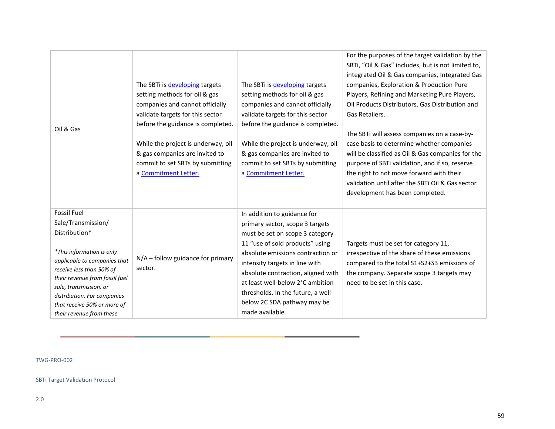| Oil & Gas                                                                                                                                                                                                                                                                                                | The SBTi is developing targets<br>setting methods for oil & gas<br>companies and cannot officially<br>validate targets for this sector<br>before the guidance is completed.<br>While the project is underway, oil<br>& gas companies are invited to<br>commit to set SBTs by submitting<br>a Commitment Letter. | The SBTi is developing targets<br>setting methods for oil & gas<br>companies and cannot officially<br>validate targets for this sector<br>before the guidance is completed.<br>While the project is underway, oil<br>& gas companies are invited to<br>commit to set SBTs by submitting<br>a Commitment Letter.                                                               | For the purposes of the target validation by the<br>SBTi, "Oil & Gas" includes, but is not limited to,<br>integrated Oil & Gas companies, Integrated Gas<br>companies, Exploration & Production Pure<br>Players, Refining and Marketing Pure Players,<br>Oil Products Distributors, Gas Distribution and<br>Gas Retailers.<br>The SBTi will assess companies on a case-by-<br>case basis to determine whether companies<br>will be classified as Oil & Gas companies for the<br>purpose of SBTi validation, and if so, reserve<br>the right to not move forward with their<br>validation until after the SBTi Oil & Gas sector<br>development has been completed. |
|----------------------------------------------------------------------------------------------------------------------------------------------------------------------------------------------------------------------------------------------------------------------------------------------------------|-----------------------------------------------------------------------------------------------------------------------------------------------------------------------------------------------------------------------------------------------------------------------------------------------------------------|-------------------------------------------------------------------------------------------------------------------------------------------------------------------------------------------------------------------------------------------------------------------------------------------------------------------------------------------------------------------------------|-------------------------------------------------------------------------------------------------------------------------------------------------------------------------------------------------------------------------------------------------------------------------------------------------------------------------------------------------------------------------------------------------------------------------------------------------------------------------------------------------------------------------------------------------------------------------------------------------------------------------------------------------------------------|
| <b>Fossil Fuel</b><br>Sale/Transmission/<br>Distribution*<br>*This information is only<br>applicable to companies that<br>receive less than 50% of<br>their revenue from fossil fuel<br>sale, transmission, or<br>distribution. For companies<br>that receive 50% or more of<br>their revenue from these | $N/A$ – follow guidance for primary<br>sector.                                                                                                                                                                                                                                                                  | In addition to guidance for<br>primary sector, scope 3 targets<br>must be set on scope 3 category<br>11 "use of sold products" using<br>absolute emissions contraction or<br>intensity targets in line with<br>absolute contraction, aligned with<br>at least well-below 2°C ambition<br>thresholds. In the future, a well-<br>below 2C SDA pathway may be<br>made available. | Targets must be set for category 11,<br>irrespective of the share of these emissions<br>compared to the total S1+S2+S3 emissions of<br>the company. Separate scope 3 targets may<br>need to be set in this case.                                                                                                                                                                                                                                                                                                                                                                                                                                                  |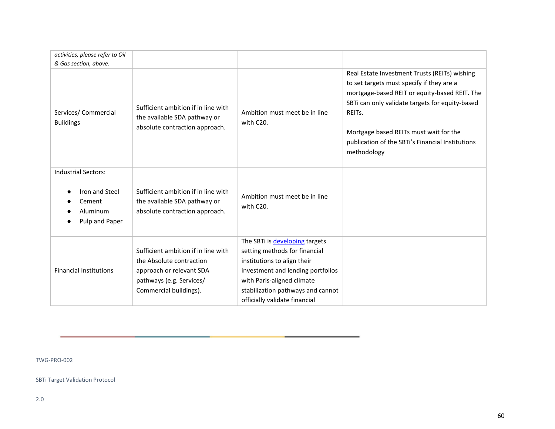| activities, please refer to Oil                                   |                                                                                                       |                                                                    |                                                                                                                                                                                                                       |
|-------------------------------------------------------------------|-------------------------------------------------------------------------------------------------------|--------------------------------------------------------------------|-----------------------------------------------------------------------------------------------------------------------------------------------------------------------------------------------------------------------|
| & Gas section, above.<br>Services/ Commercial<br><b>Buildings</b> | Sufficient ambition if in line with<br>the available SDA pathway or<br>absolute contraction approach. | Ambition must meet be in line<br>with C20.                         | Real Estate Investment Trusts (REITs) wishing<br>to set targets must specify if they are a<br>mortgage-based REIT or equity-based REIT. The<br>SBTi can only validate targets for equity-based<br>REIT <sub>s</sub> . |
|                                                                   |                                                                                                       |                                                                    | Mortgage based REITs must wait for the<br>publication of the SBTi's Financial Institutions<br>methodology                                                                                                             |
| <b>Industrial Sectors:</b>                                        |                                                                                                       |                                                                    |                                                                                                                                                                                                                       |
| Iron and Steel<br>Cement<br>Aluminum<br>Pulp and Paper            | Sufficient ambition if in line with<br>the available SDA pathway or<br>absolute contraction approach. | Ambition must meet be in line<br>with C20.                         |                                                                                                                                                                                                                       |
| <b>Financial Institutions</b>                                     | Sufficient ambition if in line with                                                                   | The SBTi is developing targets<br>setting methods for financial    |                                                                                                                                                                                                                       |
|                                                                   | the Absolute contraction                                                                              | institutions to align their                                        |                                                                                                                                                                                                                       |
|                                                                   | approach or relevant SDA<br>pathways (e.g. Services/                                                  | investment and lending portfolios<br>with Paris-aligned climate    |                                                                                                                                                                                                                       |
|                                                                   | Commercial buildings).                                                                                | stabilization pathways and cannot<br>officially validate financial |                                                                                                                                                                                                                       |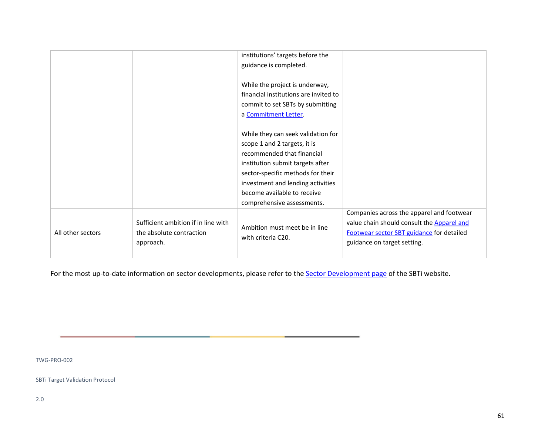|                   |                                                                              | institutions' targets before the<br>guidance is completed.<br>While the project is underway,<br>financial institutions are invited to<br>commit to set SBTs by submitting<br>a Commitment Letter.                                                                           |                                                                                                                                                                     |
|-------------------|------------------------------------------------------------------------------|-----------------------------------------------------------------------------------------------------------------------------------------------------------------------------------------------------------------------------------------------------------------------------|---------------------------------------------------------------------------------------------------------------------------------------------------------------------|
|                   |                                                                              | While they can seek validation for<br>scope 1 and 2 targets, it is<br>recommended that financial<br>institution submit targets after<br>sector-specific methods for their<br>investment and lending activities<br>become available to receive<br>comprehensive assessments. |                                                                                                                                                                     |
| All other sectors | Sufficient ambition if in line with<br>the absolute contraction<br>approach. | Ambition must meet be in line<br>with criteria C20.                                                                                                                                                                                                                         | Companies across the apparel and footwear<br>value chain should consult the Apparel and<br>Footwear sector SBT guidance for detailed<br>guidance on target setting. |

For the most up-to-date information on sector developments, please refer to the **Sector Development page of the SBTi website**.

TWG-PRO-002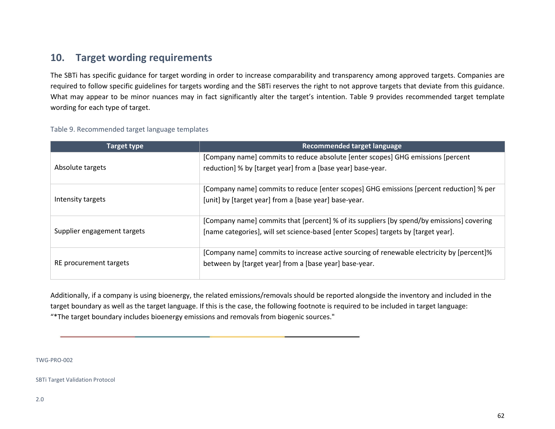## **10. Target wording requirements**

The SBTi has specific guidance for target wording in order to increase comparability and transparency among approved targets. Companies are required to follow specific guidelines for targets wording and the SBTi reserves the right to not approve targets that deviate from this guidance. What may appear to be minor nuances may in fact significantly alter the target's intention. Table 9 provides recommended target template wording for each type of target.

<span id="page-61-0"></span>

| Target type                 | <b>Recommended target language</b>                                                        |
|-----------------------------|-------------------------------------------------------------------------------------------|
|                             | [Company name] commits to reduce absolute [enter scopes] GHG emissions [percent]          |
| Absolute targets            | reduction] % by [target year] from a [base year] base-year.                               |
|                             | [Company name] commits to reduce [enter scopes] GHG emissions [percent reduction] % per   |
| Intensity targets           | [unit] by [target year] from a [base year] base-year.                                     |
|                             | [Company name] commits that [percent] % of its suppliers [by spend/by emissions] covering |
| Supplier engagement targets | [name categories], will set science-based [enter Scopes] targets by [target year].        |
|                             | [Company name] commits to increase active sourcing of renewable electricity by [percent]% |
| RE procurement targets      | between by [target year] from a [base year] base-year.                                    |

#### Table 9. Recommended target language templates

Additionally, if a company is using bioenergy, the related emissions/removals should be reported alongside the inventory and included in the target boundary as well as the target language. If this is the case, the following footnote is required to be included in target language: "\*The target boundary includes bioenergy emissions and removals from biogenic sources."

TWG-PRO-002